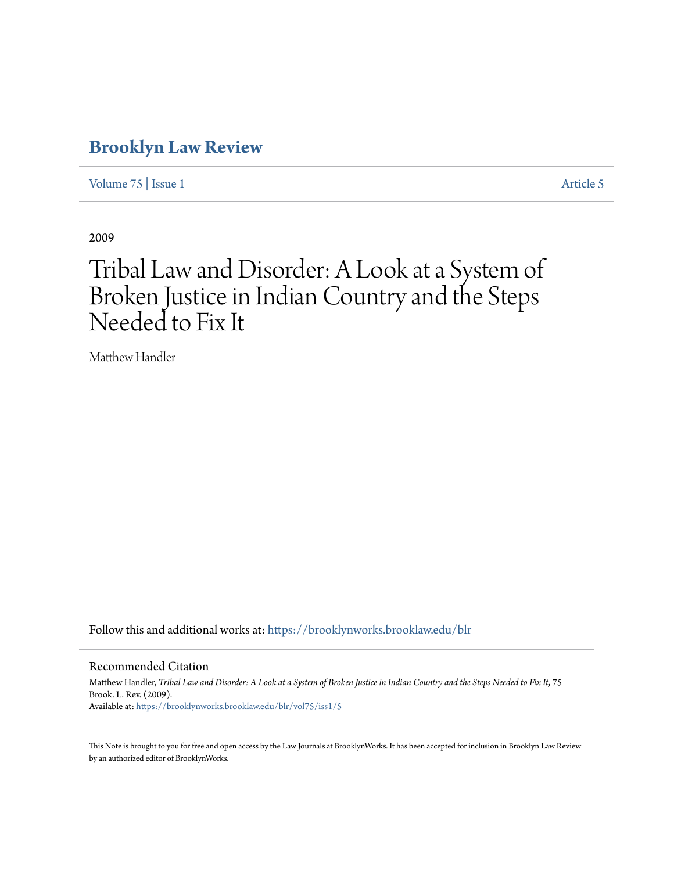### **[Brooklyn Law Review](https://brooklynworks.brooklaw.edu/blr?utm_source=brooklynworks.brooklaw.edu%2Fblr%2Fvol75%2Fiss1%2F5&utm_medium=PDF&utm_campaign=PDFCoverPages)**

[Volume 75](https://brooklynworks.brooklaw.edu/blr/vol75?utm_source=brooklynworks.brooklaw.edu%2Fblr%2Fvol75%2Fiss1%2F5&utm_medium=PDF&utm_campaign=PDFCoverPages) | [Issue 1](https://brooklynworks.brooklaw.edu/blr/vol75/iss1?utm_source=brooklynworks.brooklaw.edu%2Fblr%2Fvol75%2Fiss1%2F5&utm_medium=PDF&utm_campaign=PDFCoverPages) [Article 5](https://brooklynworks.brooklaw.edu/blr/vol75/iss1/5?utm_source=brooklynworks.brooklaw.edu%2Fblr%2Fvol75%2Fiss1%2F5&utm_medium=PDF&utm_campaign=PDFCoverPages)

2009

# Tribal Law and Disorder: A Look at a System of Broken Justice in Indian Country and the Steps Needed to Fix It

Matthew Handler

Follow this and additional works at: [https://brooklynworks.brooklaw.edu/blr](https://brooklynworks.brooklaw.edu/blr?utm_source=brooklynworks.brooklaw.edu%2Fblr%2Fvol75%2Fiss1%2F5&utm_medium=PDF&utm_campaign=PDFCoverPages)

#### Recommended Citation

Matthew Handler, *Tribal Law and Disorder: A Look at a System of Broken Justice in Indian Country and the Steps Needed to Fix It*, 75 Brook. L. Rev. (2009). Available at: [https://brooklynworks.brooklaw.edu/blr/vol75/iss1/5](https://brooklynworks.brooklaw.edu/blr/vol75/iss1/5?utm_source=brooklynworks.brooklaw.edu%2Fblr%2Fvol75%2Fiss1%2F5&utm_medium=PDF&utm_campaign=PDFCoverPages)

This Note is brought to you for free and open access by the Law Journals at BrooklynWorks. It has been accepted for inclusion in Brooklyn Law Review by an authorized editor of BrooklynWorks.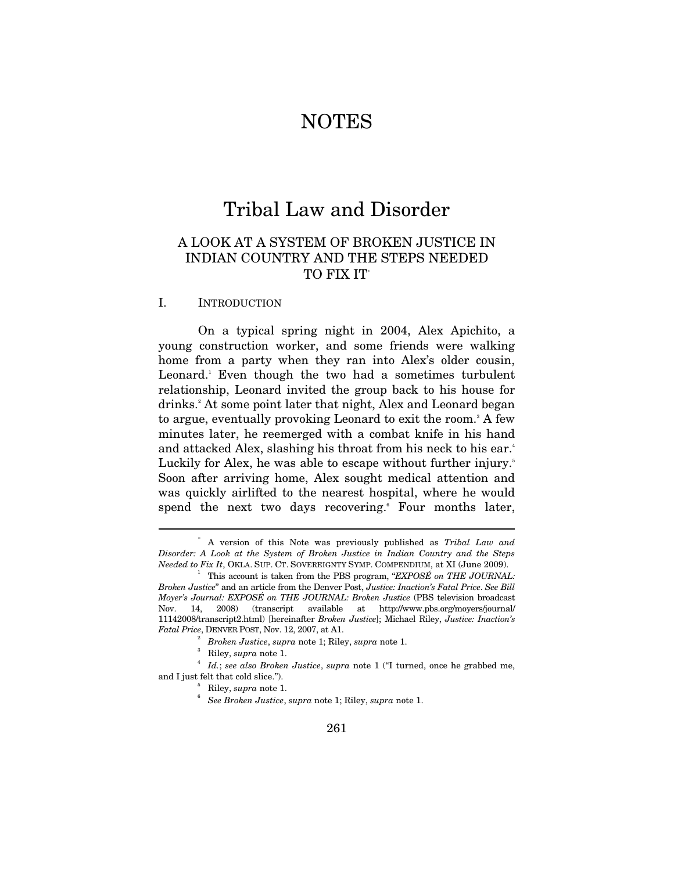## NOTES

## Tribal Law and Disorder

### A LOOK AT A SYSTEM OF BROKEN JUSTICE IN INDIAN COUNTRY AND THE STEPS NEEDED TO FIX IT\*

#### I. INTRODUCTION

 $\overline{a}$ 

On a typical spring night in 2004, Alex Apichito, a young construction worker, and some friends were walking home from a party when they ran into Alex's older cousin, Leonard.<sup>1</sup> Even though the two had a sometimes turbulent relationship, Leonard invited the group back to his house for drinks.<sup>2</sup> At some point later that night, Alex and Leonard began to argue, eventually provoking Leonard to exit the room.<sup>3</sup> A few minutes later, he reemerged with a combat knife in his hand and attacked Alex, slashing his throat from his neck to his ear.<sup>4</sup> Luckily for Alex, he was able to escape without further injury.<sup>5</sup> Soon after arriving home, Alex sought medical attention and was quickly airlifted to the nearest hospital, where he would spend the next two days recovering. Four months later,

<sup>\*</sup> A version of this Note was previously published as *Tribal Law and Disorder: A Look at the System of Broken Justice in Indian Country and the Steps Needed to Fix It*, OKLA. SUP. CT. SOVEREIGNTY SYMP. COMPENDIUM, at XI (June 2009).

This account is taken from the PBS program, "*EXPOSÉ on THE JOURNAL: Broken Justice*" and an article from the Denver Post, *Justice: Inaction's Fatal Price*. *See Bill Moyer's Journal: EXPOSÉ on THE JOURNAL: Broken Justice* (PBS television broadcast Nov. 14, 2008) (transcript available at http://www.pbs.org/moyers/journal/ 11142008/transcript2.html) [hereinafter *Broken Justice*]; Michael Riley, *Justice: Inaction's Fatal Price*, DENVER POST, Nov. 12, 2007, at A1.

*Broken Justice*, *supra* note 1; Riley, *supra* note 1. 3

 $^{\mathrm{3}}\,$  Riley,  $supra$  note 1.

*Id.*; *see also Broken Justice*, *supra* note 1 ("I turned, once he grabbed me, and I just felt that cold slice.").

 $\frac{5}{2}$  Riley, *supra* note 1.

*See Broken Justice*, *supra* note 1; Riley, *supra* note 1.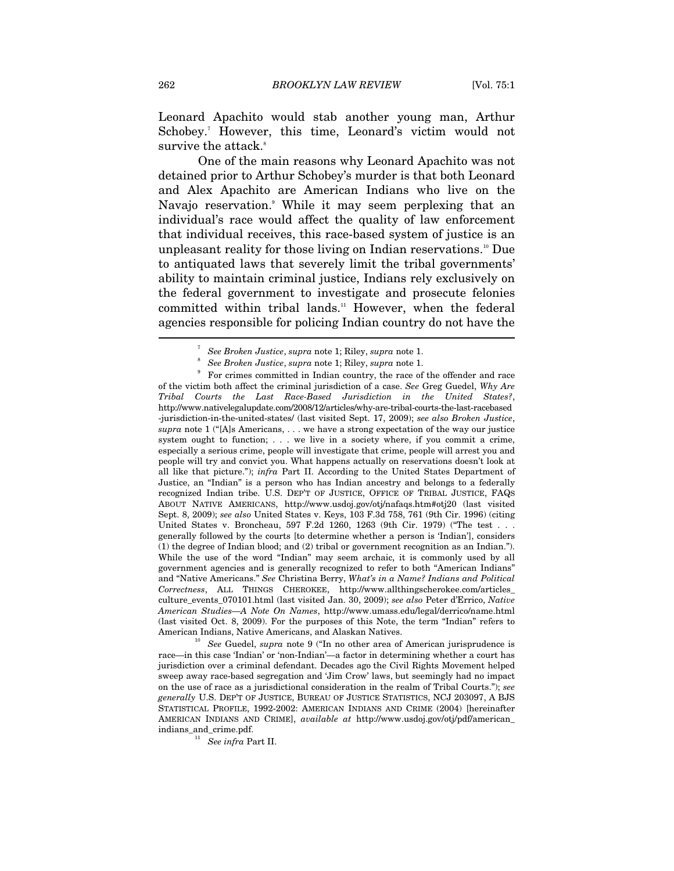Leonard Apachito would stab another young man, Arthur Schobey.<sup>7</sup> However, this time, Leonard's victim would not survive the attack.<sup>8</sup>

One of the main reasons why Leonard Apachito was not detained prior to Arthur Schobey's murder is that both Leonard and Alex Apachito are American Indians who live on the Navajo reservation.<sup>9</sup> While it may seem perplexing that an individual's race would affect the quality of law enforcement that individual receives, this race-based system of justice is an unpleasant reality for those living on Indian reservations.<sup>10</sup> Due to antiquated laws that severely limit the tribal governments' ability to maintain criminal justice, Indians rely exclusively on the federal government to investigate and prosecute felonies committed within tribal lands.<sup>11</sup> However, when the federal agencies responsible for policing Indian country do not have the  $\overline{\phantom{a}}$ 

American Indians, Native Americans, and Alaskan Natives.<br><sup>10</sup> *See* Guedel, *supra* note 9 ("In no other area of American jurisprudence is race—in this case 'Indian' or 'non-Indian'—a factor in determining whether a court has jurisdiction over a criminal defendant. Decades ago the Civil Rights Movement helped sweep away race-based segregation and 'Jim Crow' laws, but seemingly had no impact on the use of race as a jurisdictional consideration in the realm of Tribal Courts."); *see generally* U.S. DEP'T OF JUSTICE, BUREAU OF JUSTICE STATISTICS, NCJ 203097, A BJS STATISTICAL PROFILE, 1992-2002: AMERICAN INDIANS AND CRIME (2004) [hereinafter AMERICAN INDIANS AND CRIME], *available at* http://www.usdoj.gov/otj/pdf/american\_

 $i<sup>11</sup>$  See infra Part II.

<sup>7</sup> *See Broken Justice, supra* note 1; Riley, *supra* note 1.

*See Broken Justice, supra* note 1; Riley, *supra* note 1.

For crimes committed in Indian country, the race of the offender and race of the victim both affect the criminal jurisdiction of a case. *See* Greg Guedel, *Why Are Tribal Courts the Last Race-Based Jurisdiction in the United States?*, http://www.nativelegalupdate.com/2008/12/articles/why-are-tribal-courts-the-last-racebased -jurisdiction-in-the-united-states/ (last visited Sept. 17, 2009); *see also Broken Justice*, *supra* note 1 ("[A]s Americans, . . . we have a strong expectation of the way our justice system ought to function; . . . we live in a society where, if you commit a crime, especially a serious crime, people will investigate that crime, people will arrest you and people will try and convict you. What happens actually on reservations doesn't look at all like that picture."); *infra* Part II. According to the United States Department of Justice, an "Indian" is a person who has Indian ancestry and belongs to a federally recognized Indian tribe. U.S. DEP'T OF JUSTICE, OFFICE OF TRIBAL JUSTICE, FAQS ABOUT NATIVE AMERICANS, http://www.usdoj.gov/otj/nafaqs.htm#otj20 (last visited Sept. 8, 2009); *see also* United States v. Keys, 103 F.3d 758, 761 (9th Cir. 1996) (citing United States v. Broncheau, 597 F.2d 1260, 1263 (9th Cir. 1979) ("The test . . . generally followed by the courts [to determine whether a person is 'Indian'], considers (1) the degree of Indian blood; and (2) tribal or government recognition as an Indian."). While the use of the word "Indian" may seem archaic, it is commonly used by all government agencies and is generally recognized to refer to both "American Indians" and "Native Americans." *See* Christina Berry, *What's in a Name? Indians and Political Correctness*, ALL THINGS CHEROKEE, http://www.allthingscherokee.com/articles\_ culture\_events\_070101.html (last visited Jan. 30, 2009); *see also* Peter d'Errico, *Native American Studies—A Note On Names*, http://www.umass.edu/legal/derrico/name.html (last visited Oct. 8, 2009). For the purposes of this Note, the term "Indian" refers to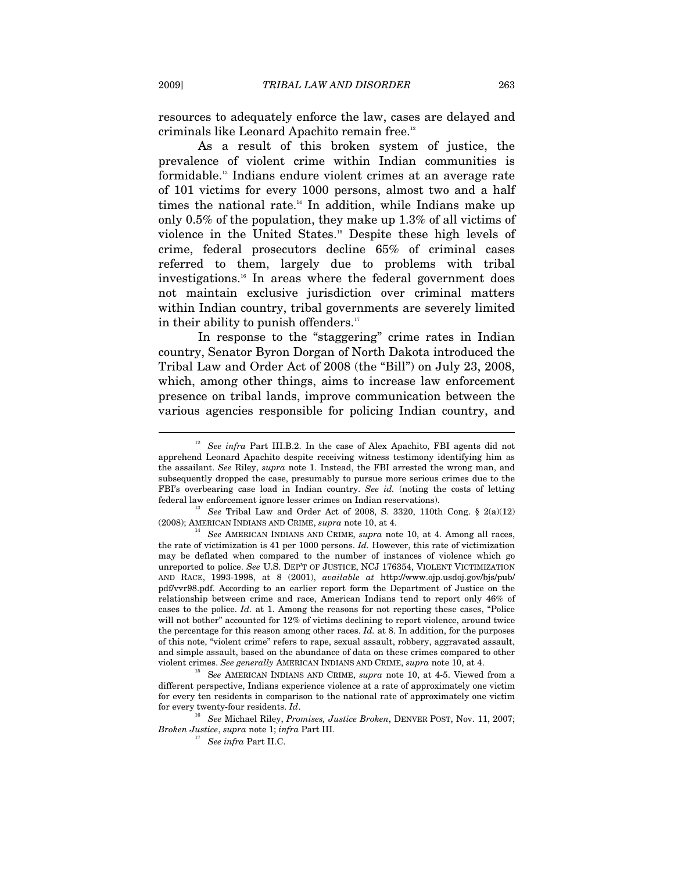resources to adequately enforce the law, cases are delayed and criminals like Leonard Apachito remain free.<sup>12</sup>

As a result of this broken system of justice, the prevalence of violent crime within Indian communities is formidable.13 Indians endure violent crimes at an average rate of 101 victims for every 1000 persons, almost two and a half times the national rate.<sup>14</sup> In addition, while Indians make up only 0.5% of the population, they make up 1.3% of all victims of violence in the United States.<sup>15</sup> Despite these high levels of crime, federal prosecutors decline 65% of criminal cases referred to them, largely due to problems with tribal investigations.<sup>16</sup> In areas where the federal government does not maintain exclusive jurisdiction over criminal matters within Indian country, tribal governments are severely limited in their ability to punish offenders. $\mathbf{r}$ 

In response to the "staggering" crime rates in Indian country, Senator Byron Dorgan of North Dakota introduced the Tribal Law and Order Act of 2008 (the "Bill") on July 23, 2008, which, among other things, aims to increase law enforcement presence on tribal lands, improve communication between the various agencies responsible for policing Indian country, and

<sup>12</sup> *See infra* Part III.B.2. In the case of Alex Apachito, FBI agents did not apprehend Leonard Apachito despite receiving witness testimony identifying him as the assailant. *See* Riley, *supra* note 1. Instead, the FBI arrested the wrong man, and subsequently dropped the case, presumably to pursue more serious crimes due to the FBI's overbearing case load in Indian country. *See id.* (noting the costs of letting federal law enforcement ignore lesser crimes on Indian reservations). 13 *See* Tribal Law and Order Act of 2008, S. 3320, 110th Cong. § 2(a)(12)

<sup>(2008);</sup> AMERICAN INDIANS AND CRIME, *supra* note 10, at 4. Among all races,  $^{14}$  *See* AMERICAN INDIANS AND CRIME, *supra* note 10, at 4. Among all races,

the rate of victimization is 41 per 1000 persons. *Id.* However, this rate of victimization may be deflated when compared to the number of instances of violence which go unreported to police. *See* U.S. DEP'T OF JUSTICE, NCJ 176354, VIOLENT VICTIMIZATION AND RACE, 1993-1998, at 8 (2001), *available at* http://www.ojp.usdoj.gov/bjs/pub/ pdf/vvr98.pdf. According to an earlier report form the Department of Justice on the relationship between crime and race, American Indians tend to report only 46% of cases to the police. *Id.* at 1. Among the reasons for not reporting these cases, "Police will not bother" accounted for 12% of victims declining to report violence, around twice the percentage for this reason among other races. *Id.* at 8. In addition, for the purposes of this note, "violent crime" refers to rape, sexual assault, robbery, aggravated assault, and simple assault, based on the abundance of data on these crimes compared to other violent crimes. *See generally* AMERICAN INDIANS AND CRIME, *supra* note 10, at 4. 15 S*ee* AMERICAN INDIANS AND CRIME, *supra* note 10, at 4-5. Viewed from a

different perspective, Indians experience violence at a rate of approximately one victim for every ten residents in comparison to the national rate of approximately one victim for every twenty-four residents. *Id*. 16 *See* Michael Riley, *Promises, Justice Broken*, DENVER POST, Nov. 11, 2007;

*Broken Justice*, *supra* note 1; *infra* Part III. 17 *See infra* Part II.C.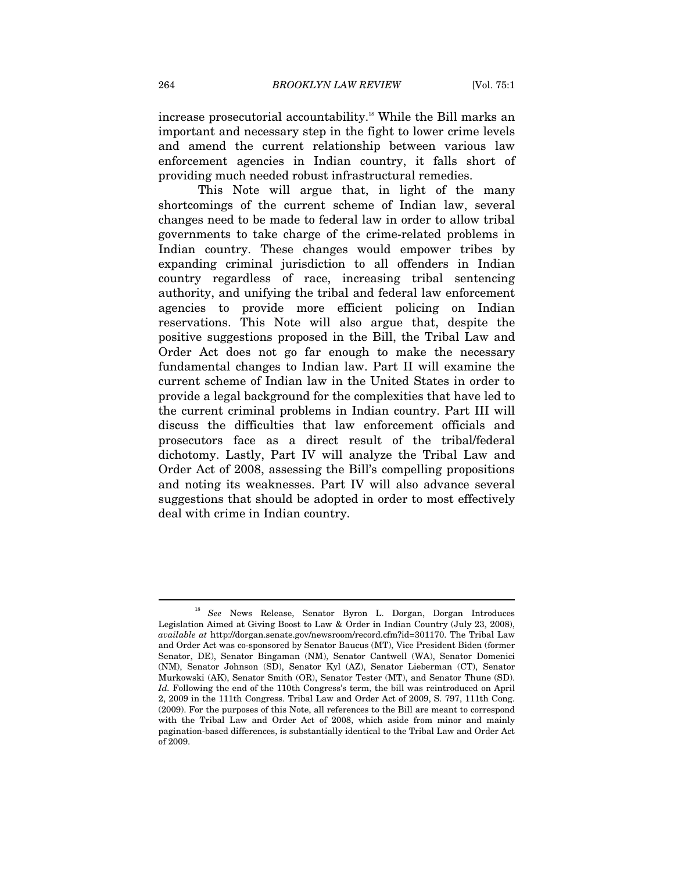increase prosecutorial accountability.<sup>18</sup> While the Bill marks an important and necessary step in the fight to lower crime levels and amend the current relationship between various law enforcement agencies in Indian country, it falls short of providing much needed robust infrastructural remedies.

This Note will argue that, in light of the many shortcomings of the current scheme of Indian law, several changes need to be made to federal law in order to allow tribal governments to take charge of the crime-related problems in Indian country. These changes would empower tribes by expanding criminal jurisdiction to all offenders in Indian country regardless of race, increasing tribal sentencing authority, and unifying the tribal and federal law enforcement agencies to provide more efficient policing on Indian reservations. This Note will also argue that, despite the positive suggestions proposed in the Bill, the Tribal Law and Order Act does not go far enough to make the necessary fundamental changes to Indian law. Part II will examine the current scheme of Indian law in the United States in order to provide a legal background for the complexities that have led to the current criminal problems in Indian country. Part III will discuss the difficulties that law enforcement officials and prosecutors face as a direct result of the tribal/federal dichotomy. Lastly, Part IV will analyze the Tribal Law and Order Act of 2008, assessing the Bill's compelling propositions and noting its weaknesses. Part IV will also advance several suggestions that should be adopted in order to most effectively deal with crime in Indian country.

<sup>18</sup> *See* News Release, Senator Byron L. Dorgan, Dorgan Introduces Legislation Aimed at Giving Boost to Law & Order in Indian Country (July 23, 2008), *available at* http://dorgan.senate.gov/newsroom/record.cfm?id=301170. The Tribal Law and Order Act was co-sponsored by Senator Baucus (MT), Vice President Biden (former Senator, DE), Senator Bingaman (NM), Senator Cantwell (WA), Senator Domenici (NM), Senator Johnson (SD), Senator Kyl (AZ), Senator Lieberman (CT), Senator Murkowski (AK), Senator Smith (OR), Senator Tester (MT), and Senator Thune (SD). *Id.* Following the end of the 110th Congress's term, the bill was reintroduced on April 2, 2009 in the 111th Congress. Tribal Law and Order Act of 2009, S. 797, 111th Cong. (2009). For the purposes of this Note, all references to the Bill are meant to correspond with the Tribal Law and Order Act of 2008, which aside from minor and mainly pagination-based differences, is substantially identical to the Tribal Law and Order Act of 2009.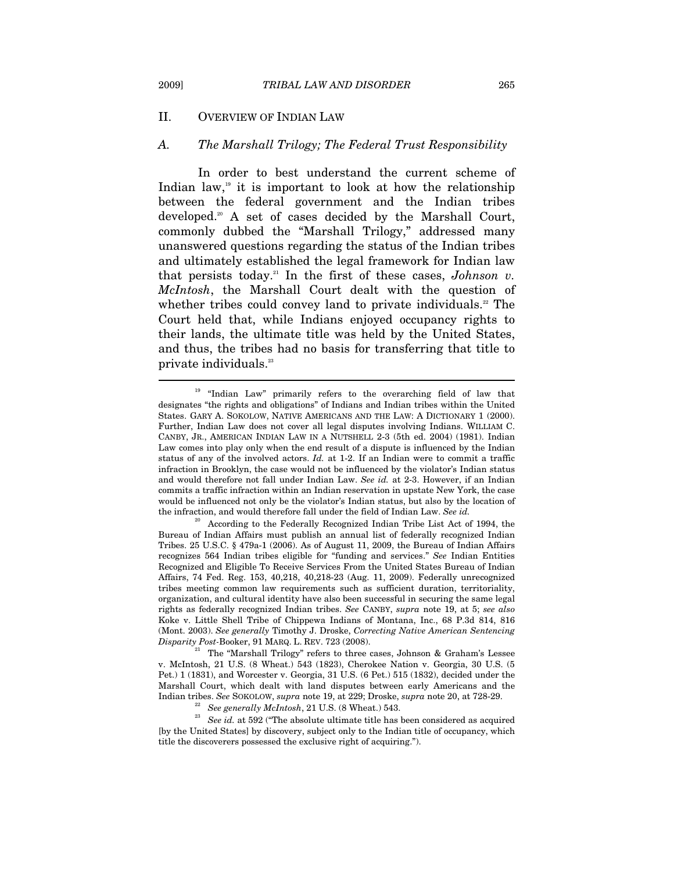#### II. OVERVIEW OF INDIAN LAW

#### *A. The Marshall Trilogy; The Federal Trust Responsibility*

In order to best understand the current scheme of Indian law, $19$  it is important to look at how the relationship between the federal government and the Indian tribes developed.20 A set of cases decided by the Marshall Court, commonly dubbed the "Marshall Trilogy," addressed many unanswered questions regarding the status of the Indian tribes and ultimately established the legal framework for Indian law that persists today.<sup>21</sup> In the first of these cases, *Johnson v. McIntosh*, the Marshall Court dealt with the question of whether tribes could convey land to private individuals. $2^2$  The Court held that, while Indians enjoyed occupancy rights to their lands, the ultimate title was held by the United States, and thus, the tribes had no basis for transferring that title to private individuals.<sup>23</sup>

[by the United States] by discovery, subject only to the Indian title of occupancy, which title the discoverers possessed the exclusive right of acquiring.").

<sup>&</sup>lt;sup>19</sup> "Indian Law" primarily refers to the overarching field of law that designates "the rights and obligations" of Indians and Indian tribes within the United States. GARY A. SOKOLOW, NATIVE AMERICANS AND THE LAW: A DICTIONARY 1 (2000). Further, Indian Law does not cover all legal disputes involving Indians. WILLIAM C. CANBY, JR., AMERICAN INDIAN LAW IN A NUTSHELL 2-3 (5th ed. 2004) (1981). Indian Law comes into play only when the end result of a dispute is influenced by the Indian status of any of the involved actors. *Id.* at 1-2. If an Indian were to commit a traffic infraction in Brooklyn, the case would not be influenced by the violator's Indian status and would therefore not fall under Indian Law. *See id.* at 2-3. However, if an Indian commits a traffic infraction within an Indian reservation in upstate New York, the case would be influenced not only be the violator's Indian status, but also by the location of the infraction, and would therefore fall under the field of Indian Law. *See id.*

 $20^{\circ}$  According to the Federally Recognized Indian Tribe List Act of 1994, the Bureau of Indian Affairs must publish an annual list of federally recognized Indian Tribes. 25 U.S.C. § 479a-1 (2006). As of August 11, 2009, the Bureau of Indian Affairs recognizes 564 Indian tribes eligible for "funding and services." *See* Indian Entities Recognized and Eligible To Receive Services From the United States Bureau of Indian Affairs, 74 Fed. Reg. 153, 40,218, 40,218-23 (Aug. 11, 2009). Federally unrecognized tribes meeting common law requirements such as sufficient duration, territoriality, organization, and cultural identity have also been successful in securing the same legal rights as federally recognized Indian tribes. *See* CANBY, *supra* note 19, at 5; *see also* Koke v. Little Shell Tribe of Chippewa Indians of Montana, Inc., 68 P.3d 814, 816 (Mont. 2003). *See generally* Timothy J. Droske, *Correcting Native American Sentencing Disparity Post-*Booker, 91 MARQ. L. REV. 723 (2008). 21 The "Marshall Trilogy" refers to three cases, Johnson & Graham's Lessee

v. McIntosh, 21 U.S. (8 Wheat.) 543 (1823), Cherokee Nation v. Georgia, 30 U.S. (5 Pet.) 1 (1831), and Worcester v. Georgia, 31 U.S. (6 Pet.) 515 (1832), decided under the Marshall Court, which dealt with land disputes between early Americans and the  $\begin{minipage}[c]{0.9\linewidth} \textbf{Indian triples.} \textit{See SOKOLOW,} \textit{supra note 19, at 229; Droske,} \textit{supra note 20, at 728-29.} \\ \textit{See generally } \textit{McIntosh, 21 U.S.}\text{ (8 Wheat.) 543.} \\ \textit{See id. at 592 (``The absolute ultimate title has been considered as acquired.)} \end{minipage}$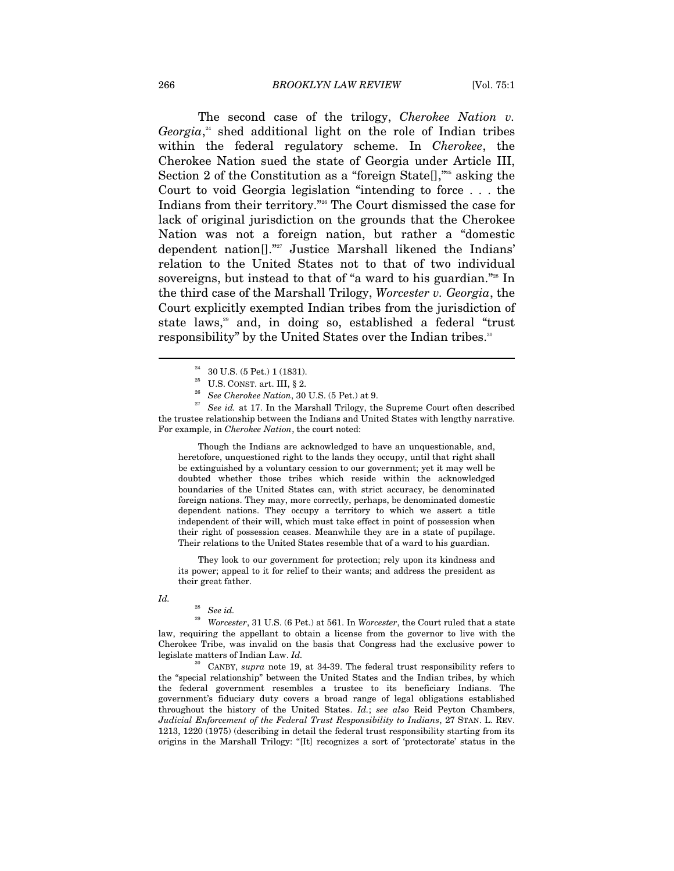The second case of the trilogy, *Cherokee Nation v.*  Georgia,<sup>24</sup> shed additional light on the role of Indian tribes within the federal regulatory scheme. In *Cherokee*, the Cherokee Nation sued the state of Georgia under Article III, Section 2 of the Constitution as a "foreign State<sup>[]</sup>,"<sup>25</sup> asking the Court to void Georgia legislation "intending to force . . . the Indians from their territory."26 The Court dismissed the case for lack of original jurisdiction on the grounds that the Cherokee Nation was not a foreign nation, but rather a "domestic dependent nation[]."27 Justice Marshall likened the Indians' relation to the United States not to that of two individual sovereigns, but instead to that of "a ward to his guardian."<sup>28</sup> In the third case of the Marshall Trilogy, *Worcester v. Georgia*, the Court explicitly exempted Indian tribes from the jurisdiction of state laws,<sup>29</sup> and, in doing so, established a federal "trust" responsibility" by the United States over the Indian tribes.<sup>30</sup>

<sup>24</sup> 30 U.S. (5 Pet.) 1 (1831).<br><sup>25</sup> U.S. CONST. art. III, § 2.<br><sup>26</sup> See Cherokee Nation, 30 U.S. (5 Pet.) at 9.<br><sup>27</sup> See *id.* at 17. In the Marshall Trilogy, the Supreme Court often described the trustee relationship between the Indians and United States with lengthy narrative. For example, in *Cherokee Nation*, the court noted:

Though the Indians are acknowledged to have an unquestionable, and, heretofore, unquestioned right to the lands they occupy, until that right shall be extinguished by a voluntary cession to our government; yet it may well be doubted whether those tribes which reside within the acknowledged boundaries of the United States can, with strict accuracy, be denominated foreign nations. They may, more correctly, perhaps, be denominated domestic dependent nations. They occupy a territory to which we assert a title independent of their will, which must take effect in point of possession when their right of possession ceases. Meanwhile they are in a state of pupilage. Their relations to the United States resemble that of a ward to his guardian.

They look to our government for protection; rely upon its kindness and its power; appeal to it for relief to their wants; and address the president as their great father.

#### *Id.*

 $\overline{a}$ 

<sup>28</sup> *See id.*

 $^{29}$   $\,$   $Worcester,$  31 U.S. (6 Pet.) at 561. In  $Worcester,$  the Court ruled that a state law, requiring the appellant to obtain a license from the governor to live with the Cherokee Tribe, was invalid on the basis that Congress had the exclusive power to legislate matters of Indian Law. *Id.*

<sup>30</sup> CANBY, *supra* note 19, at 34-39. The federal trust responsibility refers to the "special relationship" between the United States and the Indian tribes, by which the federal government resembles a trustee to its beneficiary Indians. The government's fiduciary duty covers a broad range of legal obligations established throughout the history of the United States. *Id.*; *see also* Reid Peyton Chambers, *Judicial Enforcement of the Federal Trust Responsibility to Indians*, 27 STAN. L. REV. 1213, 1220 (1975) (describing in detail the federal trust responsibility starting from its origins in the Marshall Trilogy: "[It] recognizes a sort of 'protectorate' status in the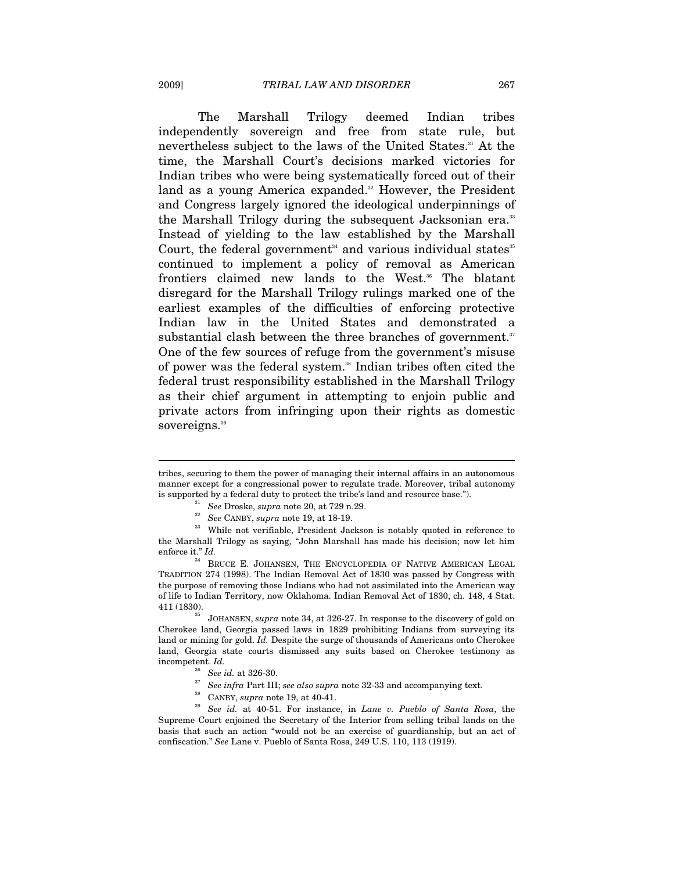The Marshall Trilogy deemed Indian tribes independently sovereign and free from state rule, but nevertheless subject to the laws of the United States.<sup>31</sup> At the time, the Marshall Court's decisions marked victories for Indian tribes who were being systematically forced out of their land as a young America expanded.<sup>32</sup> However, the President and Congress largely ignored the ideological underpinnings of the Marshall Trilogy during the subsequent Jacksonian era.<sup>33</sup> Instead of yielding to the law established by the Marshall Court, the federal government<sup>34</sup> and various individual states<sup>35</sup> continued to implement a policy of removal as American frontiers claimed new lands to the West.<sup>36</sup> The blatant disregard for the Marshall Trilogy rulings marked one of the earliest examples of the difficulties of enforcing protective Indian law in the United States and demonstrated a substantial clash between the three branches of government. $37$ One of the few sources of refuge from the government's misuse of power was the federal system.<sup>38</sup> Indian tribes often cited the federal trust responsibility established in the Marshall Trilogy as their chief argument in attempting to enjoin public and private actors from infringing upon their rights as domestic sovereigns.<sup>39</sup>

tribes, securing to them the power of managing their internal affairs in an autonomous manner except for a congressional power to regulate trade. Moreover, tribal autonomy

<sup>%</sup> is supported by a federal duty to protect the tribe's land and resource base.").<br>
<sup>31</sup> See Droske, *supra* note 20, at 729 n.29.<br>
<sup>32</sup> See CANBY, *supra* note 19, at 18-19.<br>
<sup>33</sup> While not verifiable, President Jackson the Marshall Trilogy as saying, "John Marshall has made his decision; now let him enforce it." *Id.*

<sup>&</sup>lt;sup>34</sup> BRUCE E. JOHANSEN, THE ENCYCLOPEDIA OF NATIVE AMERICAN LEGAL TRADITION 274 (1998). The Indian Removal Act of 1830 was passed by Congress with the purpose of removing those Indians who had not assimilated into the American way of life to Indian Territory, now Oklahoma. Indian Removal Act of 1830, ch. 148, 4 Stat.  $^\mathrm{35}$  JOHANSEN,  $\mathrm{supra}$  note 34, at 326-27. In response to the discovery of gold on

Cherokee land, Georgia passed laws in 1829 prohibiting Indians from surveying its land or mining for gold. *Id.* Despite the surge of thousands of Americans onto Cherokee land, Georgia state courts dismissed any suits based on Cherokee testimony as incompetent. *Id.* See id. at 326-30.

<sup>&</sup>lt;sup>37</sup> See infra Part III; see also supra note 32-33 and accompanying text.<br><sup>38</sup> CANBY, *supra* note 19, at 40-41.<br><sup>39</sup> See id. at 40-51. For instance, in *Lane v. Pueblo of Santa Rosa*, the Supreme Court enjoined the Secretary of the Interior from selling tribal lands on the basis that such an action "would not be an exercise of guardianship, but an act of confiscation." *See* Lane v. Pueblo of Santa Rosa, 249 U.S. 110, 113 (1919).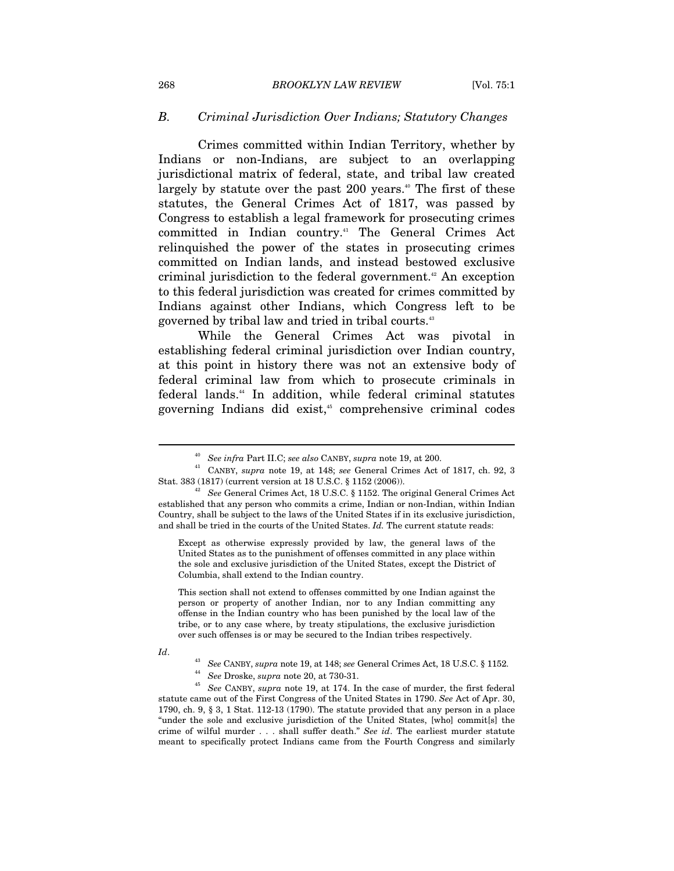#### *B. Criminal Jurisdiction Over Indians; Statutory Changes*

Crimes committed within Indian Territory, whether by Indians or non-Indians, are subject to an overlapping jurisdictional matrix of federal, state, and tribal law created largely by statute over the past  $200$  years.<sup>40</sup> The first of these statutes, the General Crimes Act of 1817, was passed by Congress to establish a legal framework for prosecuting crimes committed in Indian country.41 The General Crimes Act relinquished the power of the states in prosecuting crimes committed on Indian lands, and instead bestowed exclusive criminal jurisdiction to the federal government.<sup>42</sup> An exception to this federal jurisdiction was created for crimes committed by Indians against other Indians, which Congress left to be governed by tribal law and tried in tribal courts.<sup>43</sup>

While the General Crimes Act was pivotal in establishing federal criminal jurisdiction over Indian country, at this point in history there was not an extensive body of federal criminal law from which to prosecute criminals in federal lands.<sup>44</sup> In addition, while federal criminal statutes governing Indians did exist,<sup>45</sup> comprehensive criminal codes

Except as otherwise expressly provided by law, the general laws of the United States as to the punishment of offenses committed in any place within the sole and exclusive jurisdiction of the United States, except the District of Columbia, shall extend to the Indian country.

This section shall not extend to offenses committed by one Indian against the person or property of another Indian, nor to any Indian committing any offense in the Indian country who has been punished by the local law of the tribe, or to any case where, by treaty stipulations, the exclusive jurisdiction over such offenses is or may be secured to the Indian tribes respectively.

 $\overline{a}$ 

statute came out of the First Congress of the United States in 1790. *See* Act of Apr. 30, 1790, ch. 9, § 3, 1 Stat. 112-13 (1790). The statute provided that any person in a place "under the sole and exclusive jurisdiction of the United States, [who] commit[s] the crime of wilful murder . . . shall suffer death." *See id*. The earliest murder statute meant to specifically protect Indians came from the Fourth Congress and similarly

<sup>40</sup> *See infra* Part II.C; *see also* CANBY, *supra* note 19, at 200. 41 CANBY, *supra* note 19, at 148; *see* General Crimes Act of 1817, ch. 92, 3 Stat. 383 (1817) (current version at 18 U.S.C. § 1152 (2006)). 42 *See* General Crimes Act, 18 U.S.C. § 1152. The original General Crimes Act

established that any person who commits a crime, Indian or non-Indian, within Indian Country, shall be subject to the laws of the United States if in its exclusive jurisdiction, and shall be tried in the courts of the United States. *Id.* The current statute reads:

*Id.* See CANBY, supra note 19, at 148; see General Crimes Act, 18 U.S.C. § 1152.<br><sup>44</sup> See Droske, supra note 20, at 730-31.<br><sup>45</sup> See CANBY, supra note 19, at 174. In the case of murder, the first federal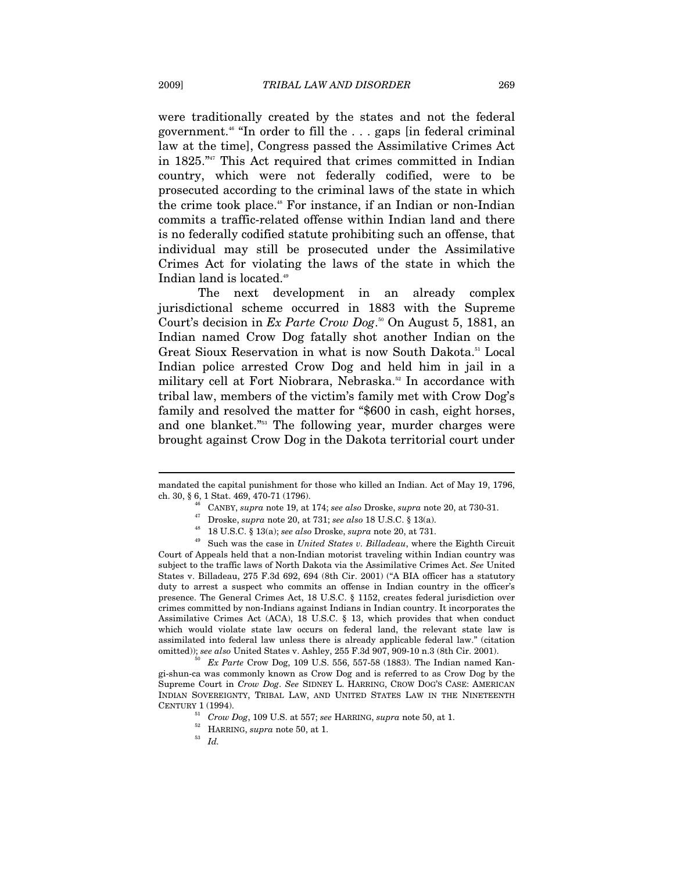were traditionally created by the states and not the federal government.<sup>46</sup> "In order to fill the  $\ldots$  gaps [in federal criminal law at the time], Congress passed the Assimilative Crimes Act in 1825."47 This Act required that crimes committed in Indian country, which were not federally codified, were to be prosecuted according to the criminal laws of the state in which the crime took place.<sup>48</sup> For instance, if an Indian or non-Indian commits a traffic-related offense within Indian land and there is no federally codified statute prohibiting such an offense, that individual may still be prosecuted under the Assimilative Crimes Act for violating the laws of the state in which the Indian land is located.49

The next development in an already complex jurisdictional scheme occurred in 1883 with the Supreme Court's decision in *Ex Parte Crow Dog*.<sup>50</sup> On August 5, 1881, an Indian named Crow Dog fatally shot another Indian on the Great Sioux Reservation in what is now South Dakota.<sup>51</sup> Local Indian police arrested Crow Dog and held him in jail in a military cell at Fort Niobrara, Nebraska.<sup>52</sup> In accordance with tribal law, members of the victim's family met with Crow Dog's family and resolved the matter for "\$600 in cash, eight horses, and one blanket."53 The following year, murder charges were brought against Crow Dog in the Dakota territorial court under

mandated the capital punishment for those who killed an Indian. Act of May 19, 1796,

ch. 30, § 6, 1 Stat. 469, 470-71 (1796).<br>
<sup>46</sup> CANBY, *supra* note 19, at 174; *see also* Droske, *supra* note 20, at 730-31.<br>
<sup>47</sup> Droske, *supra* note 20, at 731; *see also* 18 U.S.C. § 13(a).<br>
<sup>48</sup> 18 U.S.C. § 13(a); Court of Appeals held that a non-Indian motorist traveling within Indian country was subject to the traffic laws of North Dakota via the Assimilative Crimes Act. *See* United States v. Billadeau, 275 F.3d 692, 694 (8th Cir. 2001) ("A BIA officer has a statutory duty to arrest a suspect who commits an offense in Indian country in the officer's presence. The General Crimes Act, 18 U.S.C. § 1152, creates federal jurisdiction over crimes committed by non-Indians against Indians in Indian country. It incorporates the Assimilative Crimes Act (ACA), 18 U.S.C. § 13, which provides that when conduct which would violate state law occurs on federal land, the relevant state law is assimilated into federal law unless there is already applicable federal law." (citation omitted)); *see also* United States v. Ashley, 255 F.3d 907, 909-10 n.3 (8th Cir. 2001).<br><sup>50</sup> *Ex Parte* Crow Dog, 109 U.S. 556, 557-58 (1883). The Indian named Kan-

gi-shun-ca was commonly known as Crow Dog and is referred to as Crow Dog by the Supreme Court in *Crow Dog*. *See* SIDNEY L. HARRING, CROW DOG'S CASE: AMERICAN INDIAN SOVEREIGNTY, TRIBAL LAW, AND UNITED STATES LAW IN THE NINETEENTH CENTURY 1 (1994).

<sup>&</sup>lt;sup>51</sup> Crow Dog, 109 U.S. at 557; *see* HARRING, *supra* note 50, at 1.<br><sup>52</sup> HARRING, *supra* note 50, at 1.<br><sup>53</sup> Id.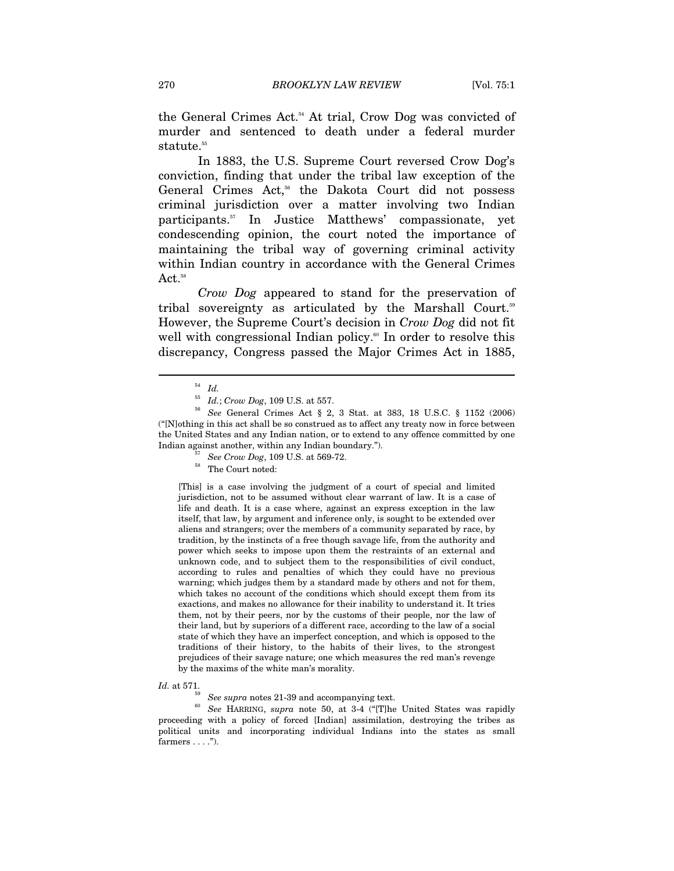the General Crimes Act.<sup>54</sup> At trial, Crow Dog was convicted of murder and sentenced to death under a federal murder statute.<sup>55</sup>

In 1883, the U.S. Supreme Court reversed Crow Dog's conviction, finding that under the tribal law exception of the General Crimes Act,<sup>56</sup> the Dakota Court did not possess criminal jurisdiction over a matter involving two Indian participants.57 In Justice Matthews' compassionate, yet condescending opinion, the court noted the importance of maintaining the tribal way of governing criminal activity within Indian country in accordance with the General Crimes  $Act.^{58}$ 

*Crow Dog* appeared to stand for the preservation of tribal sovereignty as articulated by the Marshall Court.<sup>59</sup> However, the Supreme Court's decision in *Crow Dog* did not fit well with congressional Indian policy.<sup>60</sup> In order to resolve this discrepancy, Congress passed the Major Crimes Act in 1885,

 $\overline{a}$ 

<sup>55</sup> *Id.*; *Crow Dog*, 109 U.S. at 557. 56 *See* General Crimes Act § 2, 3 Stat. at 383, 18 U.S.C. § 1152 (2006) ("[N]othing in this act shall be so construed as to affect any treaty now in force between the United States and any Indian nation, or to extend to any offence committed by one Indian against another, within any Indian boundary."). 57 *See Crow Dog*, 109 U.S. at 569-72. 58 The Court noted:

[This] is a case involving the judgment of a court of special and limited jurisdiction, not to be assumed without clear warrant of law. It is a case of life and death. It is a case where, against an express exception in the law itself, that law, by argument and inference only, is sought to be extended over aliens and strangers; over the members of a community separated by race, by tradition, by the instincts of a free though savage life, from the authority and power which seeks to impose upon them the restraints of an external and unknown code, and to subject them to the responsibilities of civil conduct, according to rules and penalties of which they could have no previous warning; which judges them by a standard made by others and not for them, which takes no account of the conditions which should except them from its exactions, and makes no allowance for their inability to understand it. It tries them, not by their peers, nor by the customs of their people, nor the law of their land, but by superiors of a different race, according to the law of a social state of which they have an imperfect conception, and which is opposed to the traditions of their history, to the habits of their lives, to the strongest prejudices of their savage nature; one which measures the red man's revenge by the maxims of the white man's morality.

*Id.* at 571. 59 *See supra* notes 21-39 and accompanying text. 60 *See* HARRING, *supra* note 50, at 3-4 ("[T]he United States was rapidly proceeding with a policy of forced [Indian] assimilation, destroying the tribes as political units and incorporating individual Indians into the states as small farmers  $\dots$ .").

<sup>54</sup> *Id.*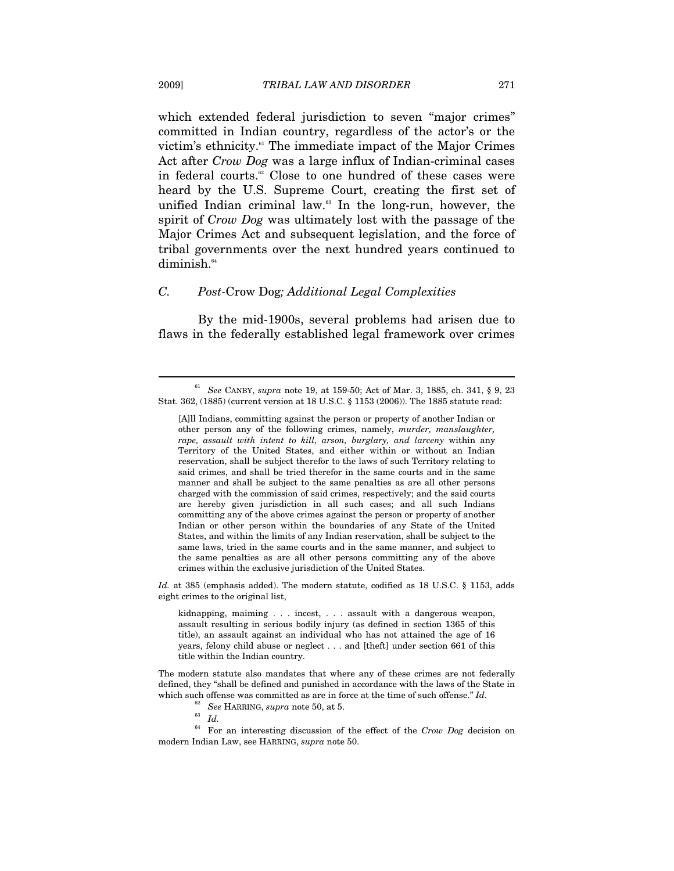which extended federal jurisdiction to seven "major crimes" committed in Indian country, regardless of the actor's or the victim's ethnicity.<sup>61</sup> The immediate impact of the Major Crimes Act after *Crow Dog* was a large influx of Indian-criminal cases in federal courts.<sup>62</sup> Close to one hundred of these cases were heard by the U.S. Supreme Court, creating the first set of unified Indian criminal law.<sup>63</sup> In the long-run, however, the spirit of *Crow Dog* was ultimately lost with the passage of the Major Crimes Act and subsequent legislation, and the force of tribal governments over the next hundred years continued to  ${\rm diminish.}^{\scriptscriptstyle 64}$ 

#### *C. Post-*Crow Dog*; Additional Legal Complexities*

By the mid-1900s, several problems had arisen due to flaws in the federally established legal framework over crimes

*Id.* at 385 (emphasis added). The modern statute, codified as 18 U.S.C. § 1153, adds eight crimes to the original list,

kidnapping, maiming . . . incest, . . . assault with a dangerous weapon, assault resulting in serious bodily injury (as defined in section 1365 of this title), an assault against an individual who has not attained the age of 16 years, felony child abuse or neglect . . . and [theft] under section 661 of this title within the Indian country.

The modern statute also mandates that where any of these crimes are not federally defined, they "shall be defined and punished in accordance with the laws of the State in which such offense was committed as are in force at the time of such offense." *Id.*

 $^{62}_{63}$   $\,$   *HARRING,*  ${supra}$  *note 50, at 5.*  $^{63}_{\,}$  $\,$  $*Id*$ 

64 For an interesting discussion of the effect of the *Crow Dog* decision on modern Indian Law, see HARRING, *supra* note 50.

<sup>61</sup> *See* CANBY, *supra* note 19, at 159-50; Act of Mar. 3, 1885, ch. 341, § 9, 23 Stat. 362, (1885) (current version at 18 U.S.C. § 1153 (2006)). The 1885 statute read:

<sup>[</sup>A]ll Indians, committing against the person or property of another Indian or other person any of the following crimes, namely, *murder, manslaughter, rape, assault with intent to kill, arson, burglary, and larceny* within any Territory of the United States, and either within or without an Indian reservation, shall be subject therefor to the laws of such Territory relating to said crimes, and shall be tried therefor in the same courts and in the same manner and shall be subject to the same penalties as are all other persons charged with the commission of said crimes, respectively; and the said courts are hereby given jurisdiction in all such cases; and all such Indians committing any of the above crimes against the person or property of another Indian or other person within the boundaries of any State of the United States, and within the limits of any Indian reservation, shall be subject to the same laws, tried in the same courts and in the same manner, and subject to the same penalties as are all other persons committing any of the above crimes within the exclusive jurisdiction of the United States.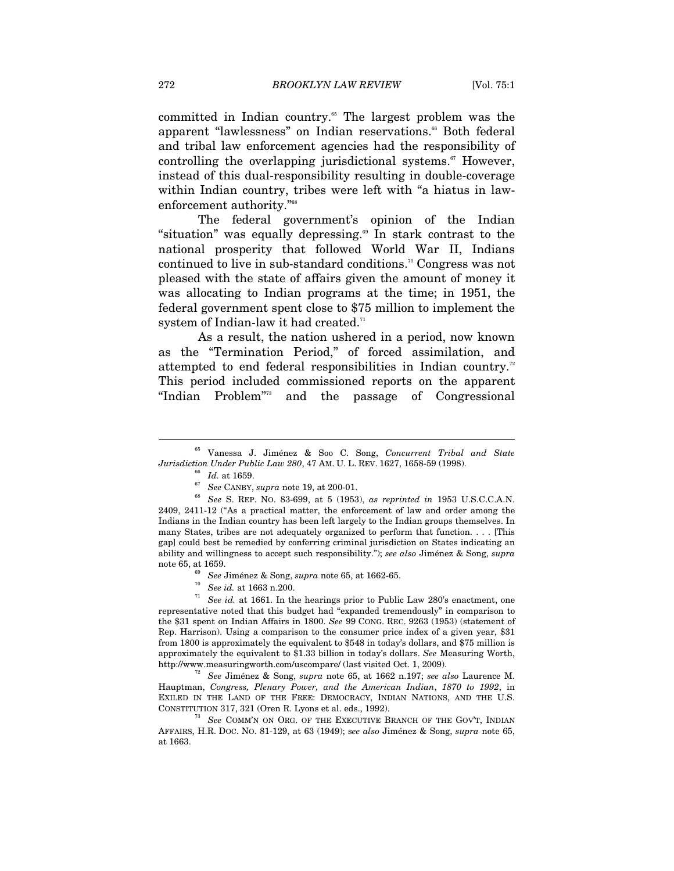committed in Indian country.<sup>65</sup> The largest problem was the apparent "lawlessness" on Indian reservations.<sup>66</sup> Both federal and tribal law enforcement agencies had the responsibility of controlling the overlapping jurisdictional systems. $\mathfrak{g}$  However, instead of this dual-responsibility resulting in double-coverage within Indian country, tribes were left with "a hiatus in lawenforcement authority."<sup>68</sup>

The federal government's opinion of the Indian "situation" was equally depressing. $\mathbb{S}^8$  In stark contrast to the national prosperity that followed World War II, Indians continued to live in sub-standard conditions.<sup>70</sup> Congress was not pleased with the state of affairs given the amount of money it was allocating to Indian programs at the time; in 1951, the federal government spent close to \$75 million to implement the system of Indian-law it had created.<sup>71</sup>

As a result, the nation ushered in a period, now known as the "Termination Period," of forced assimilation, and attempted to end federal responsibilities in Indian country.<sup>72</sup> This period included commissioned reports on the apparent "Indian Problem"73 and the passage of Congressional

<sup>65</sup> Vanessa J. Jiménez & Soo C. Song, *Concurrent Tribal and State* 

 $\begin{array}{lll} \textit{Jurisdiction Under Public Law 280, 47 AM. U. L. REV. 1627, 1658-59 (1998).}\\ \textit{ } & \textit{Id. at 1659.} \\ \textit{ } & \textit{See CANBY, supra note 19, at 200-01.} \\ \textit{ } & \textit{See S. REP. No. 83-699, at 5 (1953), as reprinted in 1953 U.S.C.C.A.N.} \end{array}$ 2409, 2411-12 ("As a practical matter, the enforcement of law and order among the Indians in the Indian country has been left largely to the Indian groups themselves. In many States, tribes are not adequately organized to perform that function. . . . [This gap] could best be remedied by conferring criminal jurisdiction on States indicating an ability and willingness to accept such responsibility."); *see also* Jiménez & Song, *supra* 

note 65, at 1659.<br><sup>69</sup> *See Jiménez & Song, supra note 65, at 1662-65.*<br><sup>70</sup> *See id.* at 1663 n.200.<br><sup>71</sup> *See id.* at 1661. In the hearings prior to Public Law 280's enactment, one representative noted that this budget had "expanded tremendously" in comparison to the \$31 spent on Indian Affairs in 1800. *See* 99 CONG. REC. 9263 (1953) (statement of Rep. Harrison). Using a comparison to the consumer price index of a given year, \$31 from 1800 is approximately the equivalent to \$548 in today's dollars, and \$75 million is approximately the equivalent to \$1.33 billion in today's dollars. *See* Measuring Worth, http://www.measuringworth.com/uscompare/ (last visited Oct. 1, 2009). 72 *See* Jiménez & Song, *supra* note 65, at 1662 n.197; *see also* Laurence M.

Hauptman, *Congress, Plenary Power, and the American Indian*, *1870 to 1992*, in EXILED IN THE LAND OF THE FREE: DEMOCRACY, INDIAN NATIONS, AND THE U.S. CONSTITUTION 317, 321 (Oren R. Lyons et al. eds., 1992). 73 *See* COMM'N ON ORG. OF THE EXECUTIVE BRANCH OF THE GOV'T, INDIAN

AFFAIRS, H.R. DOC. NO. 81-129, at 63 (1949); s*ee also* Jiménez & Song, *supra* note 65, at 1663.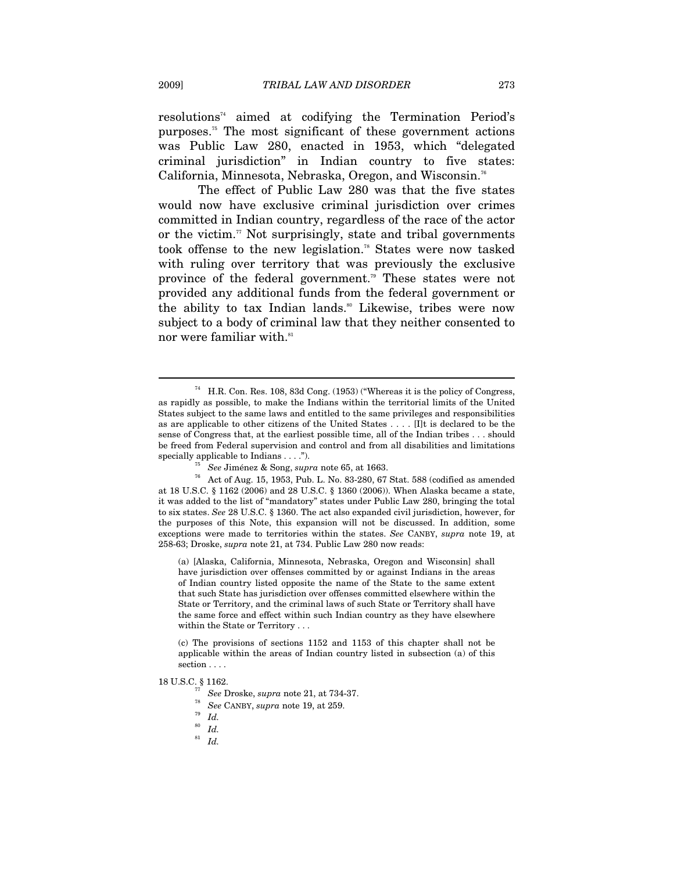resolutions74 aimed at codifying the Termination Period's purposes.75 The most significant of these government actions was Public Law 280, enacted in 1953, which "delegated criminal jurisdiction" in Indian country to five states: California, Minnesota, Nebraska, Oregon, and Wisconsin.76

The effect of Public Law 280 was that the five states would now have exclusive criminal jurisdiction over crimes committed in Indian country, regardless of the race of the actor or the victim. $\pi$  Not surprisingly, state and tribal governments took offense to the new legislation.<sup>78</sup> States were now tasked with ruling over territory that was previously the exclusive province of the federal government.<sup>79</sup> These states were not provided any additional funds from the federal government or the ability to tax Indian lands.<sup>80</sup> Likewise, tribes were now subject to a body of criminal law that they neither consented to nor were familiar with.<sup>81</sup>

(a) [Alaska, California, Minnesota, Nebraska, Oregon and Wisconsin] shall have jurisdiction over offenses committed by or against Indians in the areas of Indian country listed opposite the name of the State to the same extent that such State has jurisdiction over offenses committed elsewhere within the State or Territory, and the criminal laws of such State or Territory shall have the same force and effect within such Indian country as they have elsewhere within the State or Territory . . .

(c) The provisions of sections 1152 and 1153 of this chapter shall not be applicable within the areas of Indian country listed in subsection (a) of this section . . . .

- 18 U.S.C. § 1162. 77 *See* Droske, *supra* note 21, at 734-37. 78 *See* CANBY, *supra* note 19, at 259. 79 *Id.*
	-
	-

<sup>81</sup> *Id.*

<sup>74</sup> H.R. Con. Res. 108, 83d Cong. (1953) ("Whereas it is the policy of Congress, as rapidly as possible, to make the Indians within the territorial limits of the United States subject to the same laws and entitled to the same privileges and responsibilities as are applicable to other citizens of the United States . . . . [I]t is declared to be the sense of Congress that, at the earliest possible time, all of the Indian tribes . . . should be freed from Federal supervision and control and from all disabilities and limitations

specially applicable to Indians . . . ."). *T*<sub>5</sub> See Jiménez & Song, *supra* note 65, at 1663. <sup>76</sup> Act of Aug. 15, 1953, Pub. L. No. 83-280, 67 Stat. 588 (codified as amended at 18 U.S.C. § 1162 (2006) and 28 U.S.C. § 1360 (2006)). When Alaska became a state, it was added to the list of "mandatory" states under Public Law 280, bringing the total to six states. *See* 28 U.S.C. § 1360. The act also expanded civil jurisdiction, however, for the purposes of this Note, this expansion will not be discussed. In addition, some exceptions were made to territories within the states. *See* CANBY, *supra* note 19, at 258-63; Droske, *supra* note 21, at 734. Public Law 280 now reads:

<sup>80</sup> *Id.*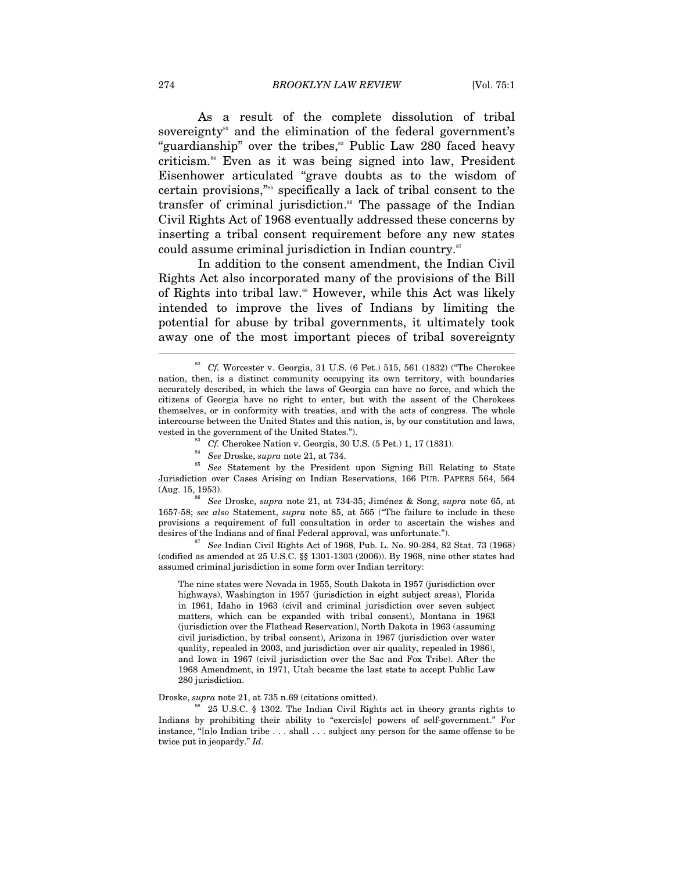As a result of the complete dissolution of tribal sovereignty<sup>82</sup> and the elimination of the federal government's "guardianship" over the tribes, $\degree$  Public Law 280 faced heavy criticism.84 Even as it was being signed into law, President Eisenhower articulated "grave doubts as to the wisdom of certain provisions,"85 specifically a lack of tribal consent to the transfer of criminal jurisdiction.<sup>86</sup> The passage of the Indian Civil Rights Act of 1968 eventually addressed these concerns by inserting a tribal consent requirement before any new states could assume criminal jurisdiction in Indian country.<sup>87</sup>

In addition to the consent amendment, the Indian Civil Rights Act also incorporated many of the provisions of the Bill of Rights into tribal law.<sup>88</sup> However, while this Act was likely intended to improve the lives of Indians by limiting the potential for abuse by tribal governments, it ultimately took away one of the most important pieces of tribal sovereignty

1657-58; *see also* Statement, *supra* note 85, at 565 ("The failure to include in these provisions a requirement of full consultation in order to ascertain the wishes and

desires of the Indians and of final Federal approval, was unfortunate."). 87 *See* Indian Civil Rights Act of 1968, Pub. L. No. 90-284, 82 Stat. 73 (1968) (codified as amended at 25 U.S.C. §§ 1301-1303 (2006)). By 1968, nine other states had assumed criminal jurisdiction in some form over Indian territory:

The nine states were Nevada in 1955, South Dakota in 1957 (jurisdiction over highways), Washington in 1957 (jurisdiction in eight subject areas), Florida in 1961, Idaho in 1963 (civil and criminal jurisdiction over seven subject matters, which can be expanded with tribal consent), Montana in 1963 (jurisdiction over the Flathead Reservation), North Dakota in 1963 (assuming civil jurisdiction, by tribal consent), Arizona in 1967 (jurisdiction over water quality, repealed in 2003, and jurisdiction over air quality, repealed in 1986), and Iowa in 1967 (civil jurisdiction over the Sac and Fox Tribe). After the 1968 Amendment, in 1971, Utah became the last state to accept Public Law 280 jurisdiction.

Droske, *supra* note 21, at 735 n.69 (citations omitted).<br><sup>88</sup> 25 U.S.C. § 1302. The Indian Civil Rights act in theory grants rights to Indians by prohibiting their ability to "exercis[e] powers of self-government." For instance, "[n]o Indian tribe . . . shall . . . subject any person for the same offense to be twice put in jeopardy." *Id*.

<sup>82</sup> *Cf.* Worcester v. Georgia, 31 U.S. (6 Pet.) 515, 561 (1832) ("The Cherokee nation, then, is a distinct community occupying its own territory, with boundaries accurately described, in which the laws of Georgia can have no force, and which the citizens of Georgia have no right to enter, but with the assent of the Cherokees themselves, or in conformity with treaties, and with the acts of congress. The whole intercourse between the United States and this nation, is, by our constitution and laws,

vested in the government of the United States.").<br>
<sup>83</sup> Cf. Cherokee Nation v. Georgia, 30 U.S. (5 Pet.) 1, 17 (1831).<br>
<sup>84</sup> See Droske, *supra* note 21, at 734.<br>
<sup>85</sup> See Statement by the President upon Signing Bill Rela Jurisdiction over Cases Arising on Indian Reservations, 166 PUB. PAPERS 564, 564 (Aug. 15, 1953). 86 *See* Droske, *supra* note 21, at 734-35; Jiménez & Song, *supra* note 65, at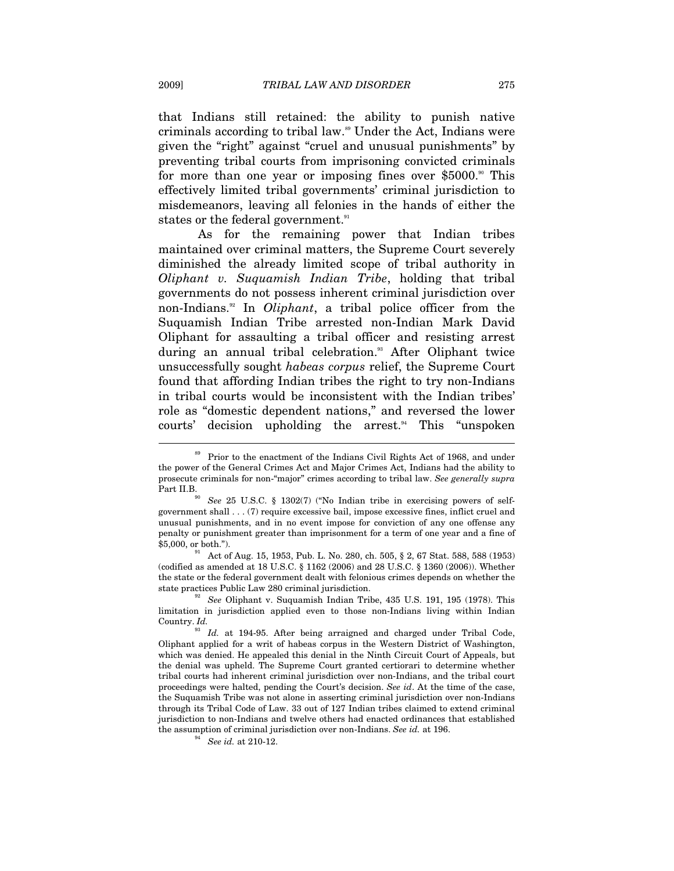that Indians still retained: the ability to punish native criminals according to tribal law.89 Under the Act, Indians were given the "right" against "cruel and unusual punishments" by preventing tribal courts from imprisoning convicted criminals for more than one year or imposing fines over  $$5000$ .<sup>®</sup> This effectively limited tribal governments' criminal jurisdiction to misdemeanors, leaving all felonies in the hands of either the states or the federal government.<sup>91</sup>

As for the remaining power that Indian tribes maintained over criminal matters, the Supreme Court severely diminished the already limited scope of tribal authority in *Oliphant v. Suquamish Indian Tribe*, holding that tribal governments do not possess inherent criminal jurisdiction over non-Indians.92 In *Oliphant*, a tribal police officer from the Suquamish Indian Tribe arrested non-Indian Mark David Oliphant for assaulting a tribal officer and resisting arrest during an annual tribal celebration.<sup>93</sup> After Oliphant twice unsuccessfully sought *habeas corpus* relief, the Supreme Court found that affording Indian tribes the right to try non-Indians in tribal courts would be inconsistent with the Indian tribes' role as "domestic dependent nations," and reversed the lower  $counts'$  decision upholding the arrest. $94$  This "unspoken"

<sup>91</sup> Act of Aug. 15, 1953, Pub. L. No. 280, ch. 505, § 2, 67 Stat. 588, 588 (1953) (codified as amended at 18 U.S.C. § 1162 (2006) and 28 U.S.C. § 1360 (2006)). Whether the state or the federal government dealt with felonious crimes depends on whether the

state practices Public Law 280 criminal jurisdiction. 92 *See* Oliphant v. Suquamish Indian Tribe, 435 U.S. 191, 195 (1978). This limitation in jurisdiction applied even to those non-Indians living within Indian Country. *Id.*

<sup>93</sup> Id. at 194-95. After being arraigned and charged under Tribal Code, Oliphant applied for a writ of habeas corpus in the Western District of Washington, which was denied. He appealed this denial in the Ninth Circuit Court of Appeals, but the denial was upheld. The Supreme Court granted certiorari to determine whether tribal courts had inherent criminal jurisdiction over non-Indians, and the tribal court proceedings were halted, pending the Court's decision. *See id*. At the time of the case, the Suquamish Tribe was not alone in asserting criminal jurisdiction over non-Indians through its Tribal Code of Law. 33 out of 127 Indian tribes claimed to extend criminal jurisdiction to non-Indians and twelve others had enacted ordinances that established the assumption of criminal jurisdiction over non-Indians. *See id.* at 196. *See id.* at 210-12.

Prior to the enactment of the Indians Civil Rights Act of 1968, and under the power of the General Crimes Act and Major Crimes Act, Indians had the ability to prosecute criminals for non-"major" crimes according to tribal law. *See generally supra*

See 25 U.S.C. § 1302(7) ("No Indian tribe in exercising powers of selfgovernment shall . . . (7) require excessive bail, impose excessive fines, inflict cruel and unusual punishments, and in no event impose for conviction of any one offense any penalty or punishment greater than imprisonment for a term of one year and a fine of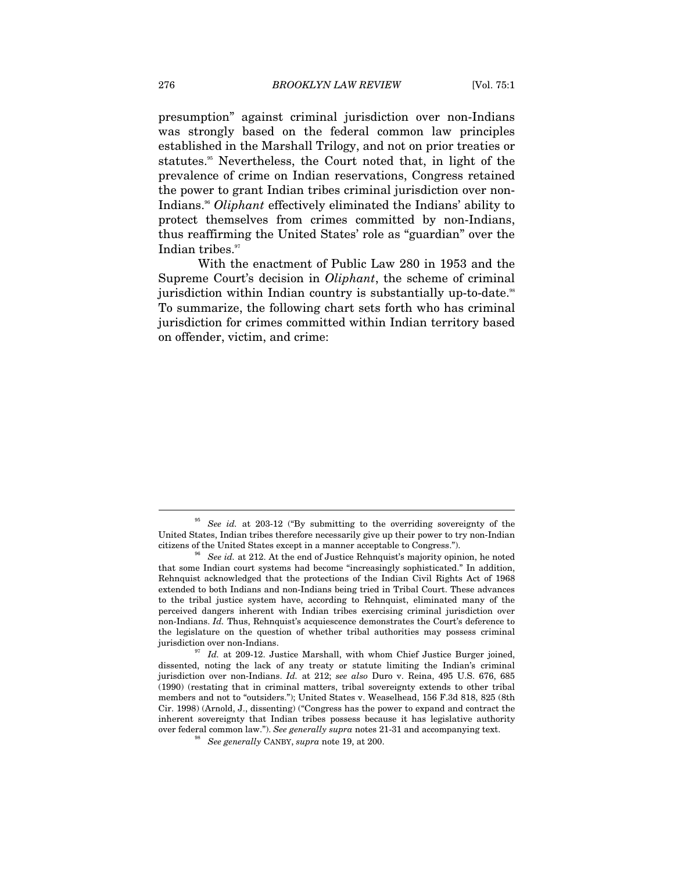presumption" against criminal jurisdiction over non-Indians was strongly based on the federal common law principles established in the Marshall Trilogy, and not on prior treaties or statutes.<sup>95</sup> Nevertheless, the Court noted that, in light of the prevalence of crime on Indian reservations, Congress retained the power to grant Indian tribes criminal jurisdiction over non-Indians.96 *Oliphant* effectively eliminated the Indians' ability to protect themselves from crimes committed by non-Indians, thus reaffirming the United States' role as "guardian" over the Indian tribes.<sup>97</sup>

With the enactment of Public Law 280 in 1953 and the Supreme Court's decision in *Oliphant*, the scheme of criminal jurisdiction within Indian country is substantially up-to-date.<sup>98</sup> To summarize, the following chart sets forth who has criminal jurisdiction for crimes committed within Indian territory based on offender, victim, and crime:

<sup>&</sup>lt;sup>95</sup> See id. at 203-12 ("By submitting to the overriding sovereignty of the United States, Indian tribes therefore necessarily give up their power to try non-Indian citizens of the United States except in a manner acceptable to Congress."). 96 *See id.* at 212. At the end of Justice Rehnquist's majority opinion, he noted

that some Indian court systems had become "increasingly sophisticated." In addition, Rehnquist acknowledged that the protections of the Indian Civil Rights Act of 1968 extended to both Indians and non-Indians being tried in Tribal Court. These advances to the tribal justice system have, according to Rehnquist, eliminated many of the perceived dangers inherent with Indian tribes exercising criminal jurisdiction over non-Indians. *Id.* Thus, Rehnquist's acquiescence demonstrates the Court's deference to the legislature on the question of whether tribal authorities may possess criminal

<sup>&</sup>lt;sup>97</sup> Id. at 209-12. Justice Marshall, with whom Chief Justice Burger joined, dissented, noting the lack of any treaty or statute limiting the Indian's criminal jurisdiction over non-Indians. *Id.* at 212; *see also* Duro v. Reina, 495 U.S. 676, 685 (1990) (restating that in criminal matters, tribal sovereignty extends to other tribal members and not to "outsiders."); United States v. Weaselhead, 156 F.3d 818, 825 (8th Cir. 1998) (Arnold, J., dissenting) ("Congress has the power to expand and contract the inherent sovereignty that Indian tribes possess because it has legislative authority over federal common law."). *See generally supra* notes 21-31 and accompanying text. 98 *See generally* CANBY, *supra* note 19, at 200.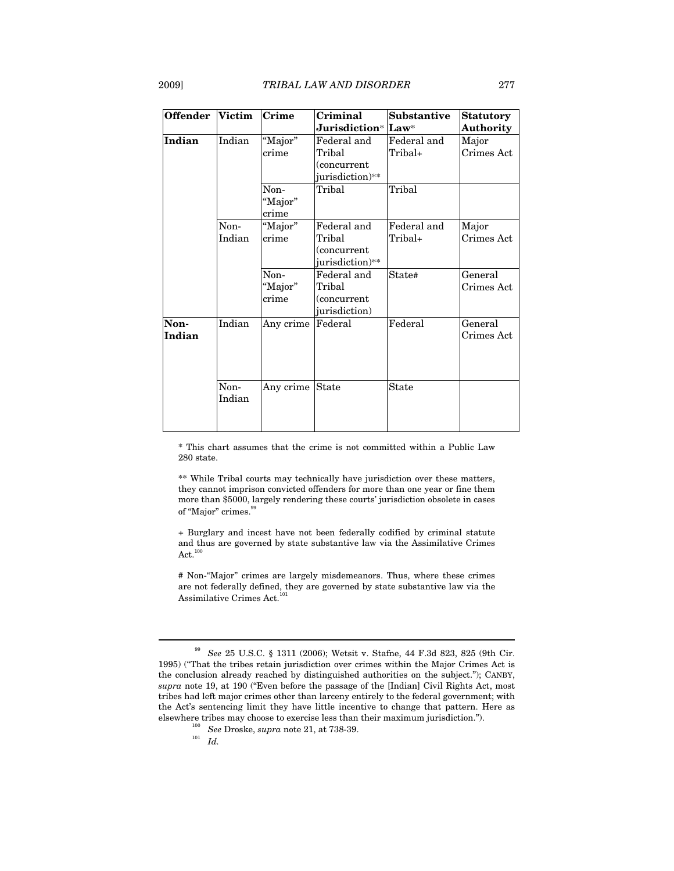| Offender Victim |        | Crime     | Criminal           | Substantive               | <b>Statutory</b> |
|-----------------|--------|-----------|--------------------|---------------------------|------------------|
|                 |        |           | Jurisdiction* Law* |                           | <b>Authority</b> |
| Indian          | Indian | "Major"   | Federal and        | Federal and               | Major            |
|                 |        | crime     | Tribal             | Tribal+                   | Crimes Act       |
|                 |        |           | (concurrent        |                           |                  |
|                 |        |           | jurisdiction)**    |                           |                  |
|                 |        | Non-      | Tribal             | Tribal                    |                  |
|                 |        | "Major"   |                    |                           |                  |
|                 |        | crime     |                    |                           |                  |
|                 | Non-   | "Major"   | Federal and        | Federal and               | Major            |
|                 | Indian | crime     | Tribal             | Tribal+                   | Crimes Act       |
|                 |        |           | (concurrent        |                           |                  |
|                 |        |           | jurisdiction)**    |                           |                  |
|                 |        | Non-      | Federal and        | $\text{State}\texttt{\#}$ | General          |
|                 |        | "Major"   | Tribal             |                           | $C$ rimes $Act$  |
|                 |        | crime     | (concurrent        |                           |                  |
|                 |        |           | jurisdiction)      |                           |                  |
| Non-            | Indian | Any crime | Federal            | Federal                   | General          |
| Indian          |        |           |                    |                           | Crimes Act       |
|                 |        |           |                    |                           |                  |
|                 |        |           |                    |                           |                  |
|                 |        |           |                    |                           |                  |
|                 | Non-   | Any crime | <b>State</b>       | State                     |                  |
|                 | Indian |           |                    |                           |                  |
|                 |        |           |                    |                           |                  |
|                 |        |           |                    |                           |                  |

\* This chart assumes that the crime is not committed within a Public Law 280 state.

\*\* While Tribal courts may technically have jurisdiction over these matters, they cannot imprison convicted offenders for more than one year or fine them more than \$5000, largely rendering these courts' jurisdiction obsolete in cases of "Major" crimes.<sup>99</sup>

+ Burglary and incest have not been federally codified by criminal statute and thus are governed by state substantive law via the Assimilative Crimes  $Act.<sup>100</sup>$ 

# Non-"Major" crimes are largely misdemeanors. Thus, where these crimes are not federally defined, they are governed by state substantive law via the Assimilative Crimes Act.<sup>101</sup>

<sup>99</sup> *See* 25 U.S.C. § 1311 (2006); Wetsit v. Stafne, 44 F.3d 823, 825 (9th Cir. 1995) ("That the tribes retain jurisdiction over crimes within the Major Crimes Act is the conclusion already reached by distinguished authorities on the subject."); CANBY, *supra* note 19, at 190 ("Even before the passage of the [Indian] Civil Rights Act, most tribes had left major crimes other than larceny entirely to the federal government; with the Act's sentencing limit they have little incentive to change that pattern. Here as elsewhere tribes may choose to exercise less than their maximum jurisdiction."). 100 *See* Droske, *supra* note 21, at 738-39. 101 *Id.*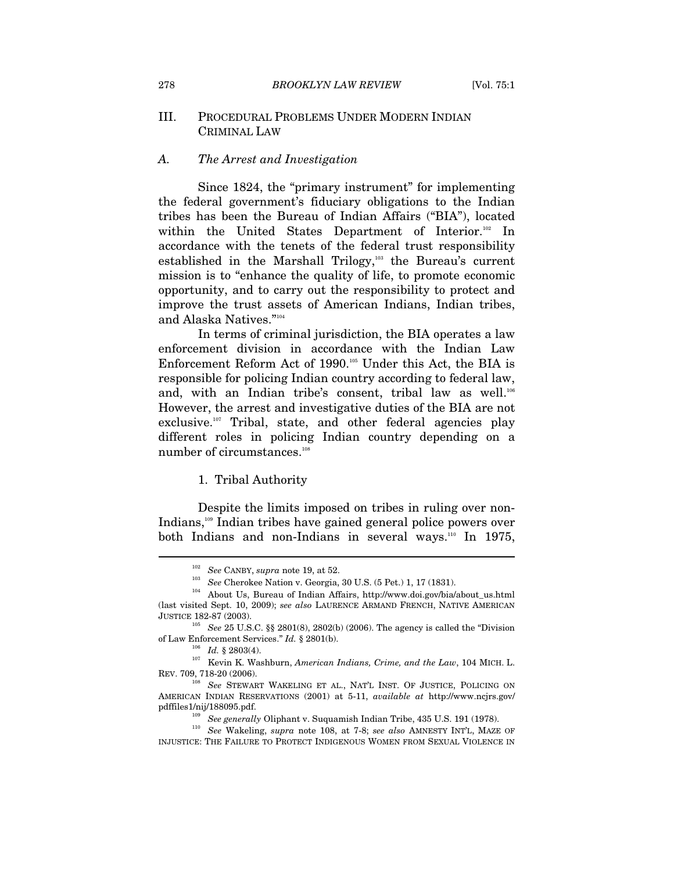#### III. PROCEDURAL PROBLEMS UNDER MODERN INDIAN CRIMINAL LAW

#### *A. The Arrest and Investigation*

Since 1824, the "primary instrument" for implementing the federal government's fiduciary obligations to the Indian tribes has been the Bureau of Indian Affairs ("BIA"), located within the United States Department of Interior.<sup>102</sup> In accordance with the tenets of the federal trust responsibility established in the Marshall Trilogy, $103$  the Bureau's current mission is to "enhance the quality of life, to promote economic opportunity, and to carry out the responsibility to protect and improve the trust assets of American Indians, Indian tribes, and Alaska Natives."104

In terms of criminal jurisdiction, the BIA operates a law enforcement division in accordance with the Indian Law Enforcement Reform Act of 1990.<sup>105</sup> Under this Act, the BIA is responsible for policing Indian country according to federal law, and, with an Indian tribe's consent, tribal law as well.<sup>106</sup> However, the arrest and investigative duties of the BIA are not exclusive.<sup>107</sup> Tribal, state, and other federal agencies play different roles in policing Indian country depending on a number of circumstances.<sup>108</sup>

1. Tribal Authority

Despite the limits imposed on tribes in ruling over non-Indians,109 Indian tribes have gained general police powers over both Indians and non-Indians in several ways.<sup>110</sup> In 1975,

 $\overline{a}$ 

% of Law Enforcement Services." *Id.* § 2801(b).<br><sup>106</sup> *Id.* § 2803(4).<br><sup>107</sup> Kevin K. Washburn, *American Indians, Crime, and the Law*, 104 MICH. L. REV. 709, 718-20 (2006). 108 *See* STEWART WAKELING ET AL., NAT'L INST. OF JUSTICE, POLICING ON

<sup>&</sup>lt;sup>102</sup> See CANBY, *supra* note 19, at 52.<br><sup>103</sup> See Cherokee Nation v. Georgia, 30 U.S. (5 Pet.) 1, 17 (1831).<br><sup>104</sup> About Us, Bureau of Indian Affairs, http://www.doi.gov/bia/about\_us.html (last visited Sept. 10, 2009); *see also* LAURENCE ARMAND FRENCH, NATIVE AMERICAN JUSTICE 182-87 (2003).

<sup>&</sup>lt;sup>105</sup> See 25 U.S.C. §§ 2801(8), 2802(b) (2006). The agency is called the "Division

AMERICAN INDIAN RESERVATIONS (2001) at 5-11, *available at* http://www.ncjrs.gov/ pdffiles1/nij/188095.pdf. 109 *See generally* Oliphant v. Suquamish Indian Tribe, 435 U.S. 191 (1978). 110 *See* Wakeling, *supra* note 108, at 7-8; *see also* AMNESTY INT'L, MAZE OF

INJUSTICE: THE FAILURE TO PROTECT INDIGENOUS WOMEN FROM SEXUAL VIOLENCE IN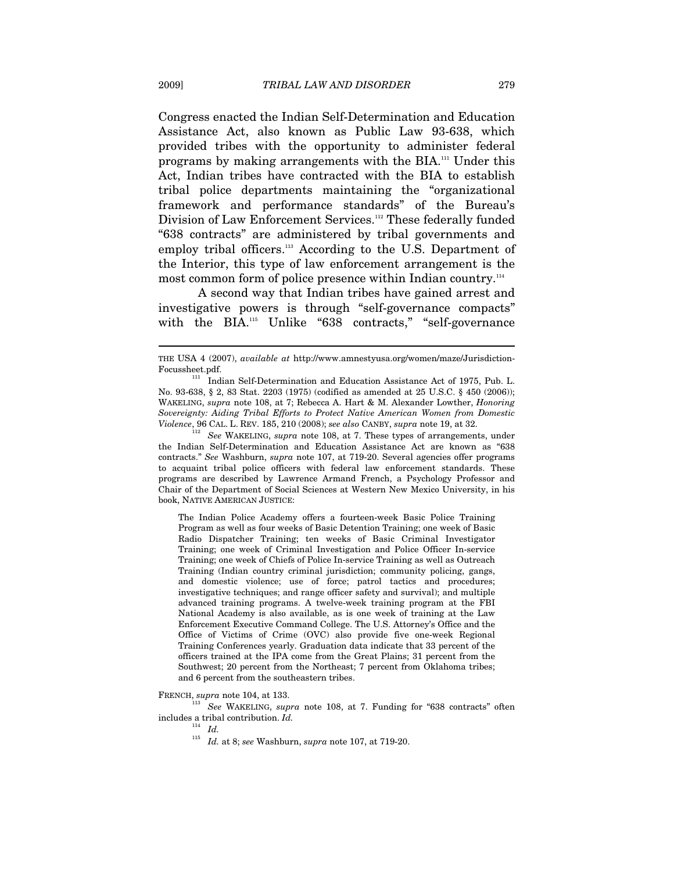Congress enacted the Indian Self-Determination and Education Assistance Act, also known as Public Law 93-638, which provided tribes with the opportunity to administer federal programs by making arrangements with the BIA.111 Under this Act, Indian tribes have contracted with the BIA to establish tribal police departments maintaining the "organizational framework and performance standards" of the Bureau's Division of Law Enforcement Services.<sup>112</sup> These federally funded "638 contracts" are administered by tribal governments and employ tribal officers.<sup>113</sup> According to the U.S. Department of the Interior, this type of law enforcement arrangement is the most common form of police presence within Indian country.<sup>114</sup>

A second way that Indian tribes have gained arrest and investigative powers is through "self-governance compacts" with the BIA.<sup>115</sup> Unlike "638 contracts," "self-governance

The Indian Police Academy offers a fourteen-week Basic Police Training Program as well as four weeks of Basic Detention Training; one week of Basic Radio Dispatcher Training; ten weeks of Basic Criminal Investigator Training; one week of Criminal Investigation and Police Officer In-service Training; one week of Chiefs of Police In-service Training as well as Outreach Training (Indian country criminal jurisdiction; community policing, gangs, and domestic violence; use of force; patrol tactics and procedures; investigative techniques; and range officer safety and survival); and multiple advanced training programs. A twelve-week training program at the FBI National Academy is also available, as is one week of training at the Law Enforcement Executive Command College. The U.S. Attorney's Office and the Office of Victims of Crime (OVC) also provide five one-week Regional Training Conferences yearly. Graduation data indicate that 33 percent of the officers trained at the IPA come from the Great Plains; 31 percent from the Southwest; 20 percent from the Northeast; 7 percent from Oklahoma tribes; and 6 percent from the southeastern tribes.

FRENCH, *supra* note 104, at 133.<br><sup>113</sup> See WAKELING, *supra* note 108, at 7. Funding for "638 contracts" often includes a tribal contribution. *Id.*

<sup>114</sup> *Id.*

<sup>115</sup> *Id.* at 8; *see* Washburn, *supra* note 107, at 719-20.

THE USA 4 (2007), *available at* http://www.amnestyusa.org/women/maze/Jurisdiction-

 $^\mathrm{111}$  Indian Self-Determination and Education Assistance Act of 1975, Pub. L. No. 93-638, § 2, 83 Stat. 2203 (1975) (codified as amended at 25 U.S.C. § 450 (2006)); WAKELING, *supra* note 108, at 7; Rebecca A. Hart & M. Alexander Lowther, *Honoring Sovereignty: Aiding Tribal Efforts to Protect Native American Women from Domestic* 

<sup>&</sup>lt;sup>112</sup> See WAKELING, *supra* note 108, at 7. These types of arrangements, under the Indian Self-Determination and Education Assistance Act are known as "638 contracts." *See* Washburn, *supra* note 107, at 719-20. Several agencies offer programs to acquaint tribal police officers with federal law enforcement standards. These programs are described by Lawrence Armand French, a Psychology Professor and Chair of the Department of Social Sciences at Western New Mexico University, in his book, NATIVE AMERICAN JUSTICE: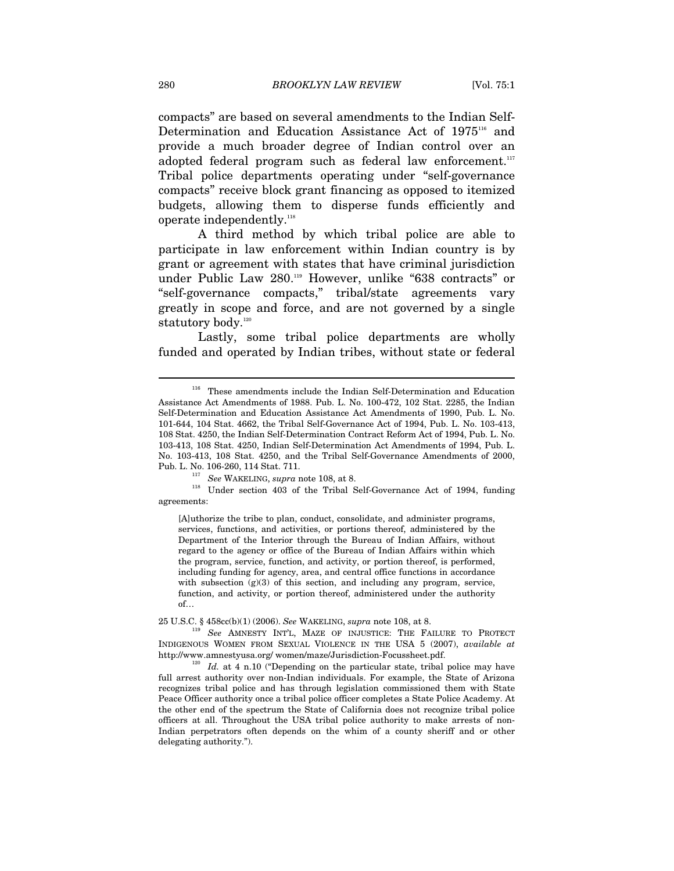compacts" are based on several amendments to the Indian Self-Determination and Education Assistance Act of 1975<sup>116</sup> and provide a much broader degree of Indian control over an adopted federal program such as federal law enforcement.<sup>117</sup> Tribal police departments operating under "self-governance compacts" receive block grant financing as opposed to itemized budgets, allowing them to disperse funds efficiently and operate independently.<sup>118</sup>

A third method by which tribal police are able to participate in law enforcement within Indian country is by grant or agreement with states that have criminal jurisdiction under Public Law 280.119 However, unlike "638 contracts" or "self-governance compacts," tribal/state agreements vary greatly in scope and force, and are not governed by a single statutory body.<sup>120</sup>

Lastly, some tribal police departments are wholly funded and operated by Indian tribes, without state or federal

Pub. L. No. 106-260, 114 Stat. 711. 117 *See* WAKELING, *supra* note 108, at 8. 118 Under section 403 of the Tribal Self-Governance Act of 1994, funding agreements:

[A]uthorize the tribe to plan, conduct, consolidate, and administer programs, services, functions, and activities, or portions thereof, administered by the Department of the Interior through the Bureau of Indian Affairs, without regard to the agency or office of the Bureau of Indian Affairs within which the program, service, function, and activity, or portion thereof, is performed, including funding for agency, area, and central office functions in accordance with subsection  $(g)(3)$  of this section, and including any program, service, function, and activity, or portion thereof, administered under the authority of…

25 U.S.C. § 458cc(b)(1) (2006). *See* WAKELING, *supra* note 108, at 8. 119 *See* AMNESTY INT'L, MAZE OF INJUSTICE: THE FAILURE TO PROTECT INDIGENOUS WOMEN FROM SEXUAL VIOLENCE IN THE USA 5 (2007), *available at* http://www.amnestyusa.org/ women/maze/Jurisdiction-Focussheet.pdf. 120 *Id.* at 4 n.10 ("Depending on the particular state, tribal police may have

full arrest authority over non-Indian individuals. For example, the State of Arizona recognizes tribal police and has through legislation commissioned them with State Peace Officer authority once a tribal police officer completes a State Police Academy. At the other end of the spectrum the State of California does not recognize tribal police officers at all. Throughout the USA tribal police authority to make arrests of non-Indian perpetrators often depends on the whim of a county sheriff and or other delegating authority.").

<sup>&</sup>lt;sup>116</sup> These amendments include the Indian Self-Determination and Education Assistance Act Amendments of 1988. Pub. L. No. 100-472, 102 Stat. 2285, the Indian Self-Determination and Education Assistance Act Amendments of 1990, Pub. L. No. 101-644, 104 Stat. 4662, the Tribal Self-Governance Act of 1994, Pub. L. No. 103-413, 108 Stat. 4250, the Indian Self-Determination Contract Reform Act of 1994, Pub. L. No. 103-413, 108 Stat. 4250, Indian Self-Determination Act Amendments of 1994, Pub. L. No. 103-413, 108 Stat. 4250, and the Tribal Self-Governance Amendments of 2000,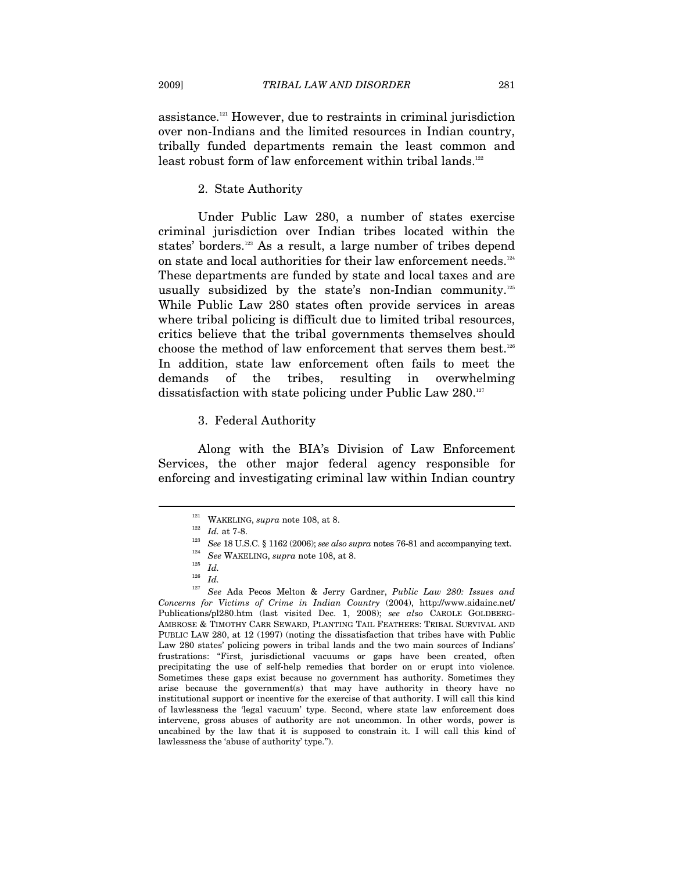assistance.121 However, due to restraints in criminal jurisdiction over non-Indians and the limited resources in Indian country, tribally funded departments remain the least common and least robust form of law enforcement within tribal lands.<sup>122</sup>

2. State Authority

Under Public Law 280, a number of states exercise criminal jurisdiction over Indian tribes located within the states' borders.123 As a result, a large number of tribes depend on state and local authorities for their law enforcement needs.124 These departments are funded by state and local taxes and are usually subsidized by the state's non-Indian community.125 While Public Law 280 states often provide services in areas where tribal policing is difficult due to limited tribal resources, critics believe that the tribal governments themselves should choose the method of law enforcement that serves them best.<sup>126</sup> In addition, state law enforcement often fails to meet the demands of the tribes, resulting in overwhelming dissatisfaction with state policing under Public Law 280.<sup>127</sup>

3. Federal Authority

Along with the BIA's Division of Law Enforcement Services, the other major federal agency responsible for enforcing and investigating criminal law within Indian country

<sup>&</sup>lt;sup>121</sup> WAKELING, *supra* note 108, at 8.<br>
<sup>122</sup> *Id.* at 7-8.<br> *see* 18 U.S.C. § 1162 (2006); *see also supra* notes 76-81 and accompanying text.<br>
<sup>124</sup> *Id.*<br>
<sup>124</sup> *Id.*<br>
<sup>125</sup> *Id.*<br>
<sup>125</sup> *Id.* 

<sup>126</sup> *Id.* 127 *See* Ada Pecos Melton & Jerry Gardner, *Public Law 280: Issues and Concerns for Victims of Crime in Indian Country* (2004), http://www.aidainc.net/ Publications/pl280.htm (last visited Dec. 1, 2008); *see also* CAROLE GOLDBERG-AMBROSE & TIMOTHY CARR SEWARD, PLANTING TAIL FEATHERS: TRIBAL SURVIVAL AND PUBLIC LAW 280, at 12 (1997) (noting the dissatisfaction that tribes have with Public Law 280 states' policing powers in tribal lands and the two main sources of Indians' frustrations: "First, jurisdictional vacuums or gaps have been created, often precipitating the use of self-help remedies that border on or erupt into violence. Sometimes these gaps exist because no government has authority. Sometimes they arise because the government(s) that may have authority in theory have no institutional support or incentive for the exercise of that authority. I will call this kind of lawlessness the 'legal vacuum' type. Second, where state law enforcement does intervene, gross abuses of authority are not uncommon. In other words, power is uncabined by the law that it is supposed to constrain it. I will call this kind of lawlessness the 'abuse of authority' type.").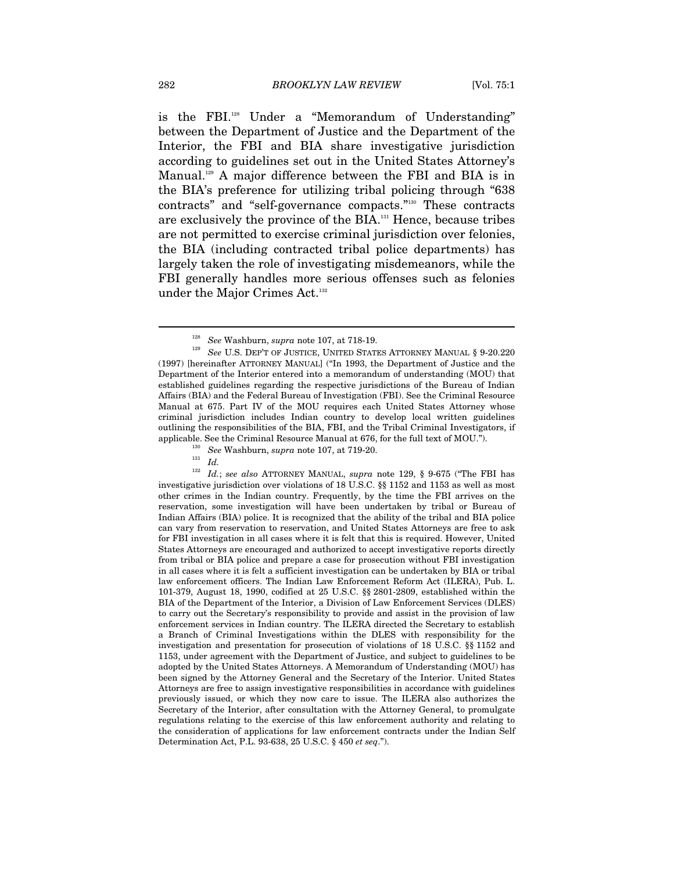is the FBI.128 Under a "Memorandum of Understanding" between the Department of Justice and the Department of the Interior, the FBI and BIA share investigative jurisdiction according to guidelines set out in the United States Attorney's Manual.<sup>129</sup> A major difference between the FBI and BIA is in the BIA's preference for utilizing tribal policing through "638 contracts" and "self-governance compacts."130 These contracts are exclusively the province of the BIA.131 Hence, because tribes are not permitted to exercise criminal jurisdiction over felonies, the BIA (including contracted tribal police departments) has largely taken the role of investigating misdemeanors, while the FBI generally handles more serious offenses such as felonies under the Major Crimes Act.<sup>132</sup>

<sup>&</sup>lt;sup>128</sup> See Washburn, *supra* note 107, at 718-19.<br><sup>129</sup> See U.S. DEP'T OF JUSTICE, UNITED STATES ATTORNEY MANUAL § 9-20.220 (1997) [hereinafter ATTORNEY MANUAL] ("In 1993, the Department of Justice and the Department of the Interior entered into a memorandum of understanding (MOU) that established guidelines regarding the respective jurisdictions of the Bureau of Indian Affairs (BIA) and the Federal Bureau of Investigation (FBI). See the Criminal Resource Manual at 675. Part IV of the MOU requires each United States Attorney whose criminal jurisdiction includes Indian country to develop local written guidelines outlining the responsibilities of the BIA, FBI, and the Tribal Criminal Investigators, if applicable. See the Criminal Resource Manual at 676, for the full text of MOU.").<br><sup>130</sup> See Washburn, *supra* note 107, at 719-20.<br><sup>131</sup> Id. <sup>132</sup> Id. ass also ATTOPNEY MANUAL supra pate 129, 8, 9, 675 ("The F

<sup>132</sup> *Id.*; *see also* ATTORNEY MANUAL, *supra* note 129, § 9-675 ("The FBI has investigative jurisdiction over violations of 18 U.S.C. §§ 1152 and 1153 as well as most other crimes in the Indian country. Frequently, by the time the FBI arrives on the reservation, some investigation will have been undertaken by tribal or Bureau of Indian Affairs (BIA) police. It is recognized that the ability of the tribal and BIA police can vary from reservation to reservation, and United States Attorneys are free to ask for FBI investigation in all cases where it is felt that this is required. However, United States Attorneys are encouraged and authorized to accept investigative reports directly from tribal or BIA police and prepare a case for prosecution without FBI investigation in all cases where it is felt a sufficient investigation can be undertaken by BIA or tribal law enforcement officers. The Indian Law Enforcement Reform Act (ILERA), Pub. L. 101-379, August 18, 1990, codified at 25 U.S.C. §§ 2801-2809, established within the BIA of the Department of the Interior, a Division of Law Enforcement Services (DLES) to carry out the Secretary's responsibility to provide and assist in the provision of law enforcement services in Indian country. The ILERA directed the Secretary to establish a Branch of Criminal Investigations within the DLES with responsibility for the investigation and presentation for prosecution of violations of 18 U.S.C. §§ 1152 and 1153, under agreement with the Department of Justice, and subject to guidelines to be adopted by the United States Attorneys. A Memorandum of Understanding (MOU) has been signed by the Attorney General and the Secretary of the Interior. United States Attorneys are free to assign investigative responsibilities in accordance with guidelines previously issued, or which they now care to issue. The ILERA also authorizes the Secretary of the Interior, after consultation with the Attorney General, to promulgate regulations relating to the exercise of this law enforcement authority and relating to the consideration of applications for law enforcement contracts under the Indian Self Determination Act, P.L. 93-638, 25 U.S.C. § 450 *et seq*.").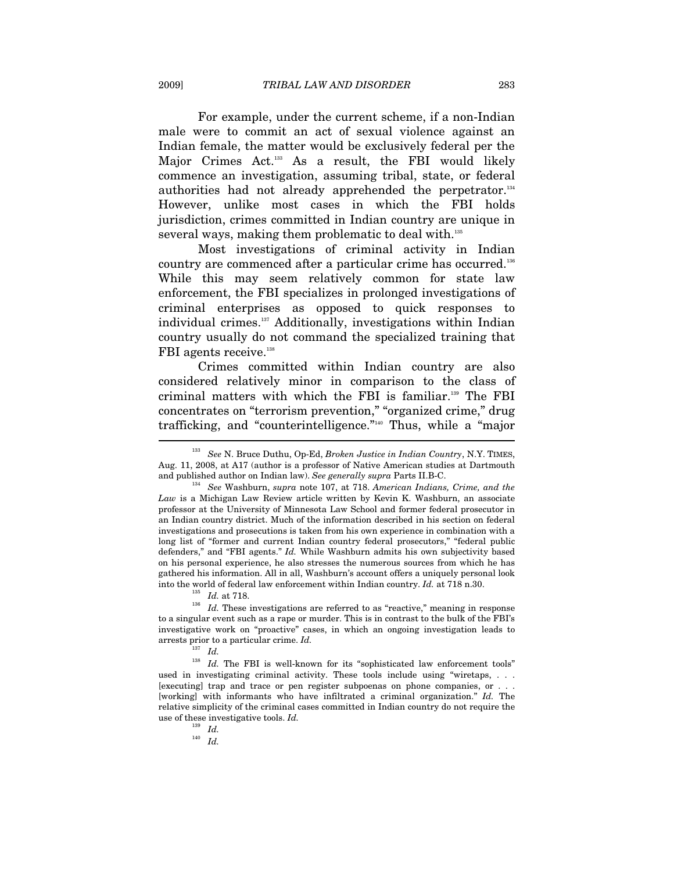For example, under the current scheme, if a non-Indian male were to commit an act of sexual violence against an Indian female, the matter would be exclusively federal per the Major Crimes Act.<sup>133</sup> As a result, the FBI would likely commence an investigation, assuming tribal, state, or federal authorities had not already apprehended the perpetrator.<sup>134</sup> However, unlike most cases in which the FBI holds jurisdiction, crimes committed in Indian country are unique in several ways, making them problematic to deal with.<sup>135</sup>

Most investigations of criminal activity in Indian country are commenced after a particular crime has occurred.136 While this may seem relatively common for state law enforcement, the FBI specializes in prolonged investigations of criminal enterprises as opposed to quick responses to individual crimes.137 Additionally, investigations within Indian country usually do not command the specialized training that FBI agents receive.<sup>138</sup>

Crimes committed within Indian country are also considered relatively minor in comparison to the class of criminal matters with which the FBI is familiar.139 The FBI concentrates on "terrorism prevention," "organized crime," drug trafficking, and "counterintelligence."140 Thus, while a "major

to a singular event such as a rape or murder. This is in contrast to the bulk of the FBI's investigative work on "proactive" cases, in which an ongoing investigation leads to arrests prior to a particular crime. *Id.*

<sup>133</sup> *See* N. Bruce Duthu, Op-Ed, *Broken Justice in Indian Country*, N.Y. TIMES, Aug. 11, 2008, at A17 (author is a professor of Native American studies at Dartmouth and published author on Indian law). *See generally supra* Parts II.B-C. 134 *See* Washburn, *supra* note 107, at 718. *American Indians, Crime, and the* 

*Law* is a Michigan Law Review article written by Kevin K. Washburn, an associate professor at the University of Minnesota Law School and former federal prosecutor in an Indian country district. Much of the information described in his section on federal investigations and prosecutions is taken from his own experience in combination with a long list of "former and current Indian country federal prosecutors," "federal public defenders," and "FBI agents." *Id.* While Washburn admits his own subjectivity based on his personal experience, he also stresses the numerous sources from which he has gathered his information. All in all, Washburn's account offers a uniquely personal look into the world of federal law enforcement within Indian country. *Id.* at 718 n.30.<br><sup>135</sup> *Id.* at 718.<br><sup>136</sup> *Id.* These investigations are referred to as "reactive," meaning in response

<sup>137</sup> *Id.*

<sup>&</sup>lt;sup>138</sup> Id. The FBI is well-known for its "sophisticated law enforcement tools" used in investigating criminal activity. These tools include using "wiretaps, . . . [executing] trap and trace or pen register subpoenas on phone companies, or . . . [working] with informants who have infiltrated a criminal organization." *Id.* The relative simplicity of the criminal cases committed in Indian country do not require the use of these investigative tools. *Id.*

<sup>139</sup> *Id.*

<sup>140</sup> *Id.*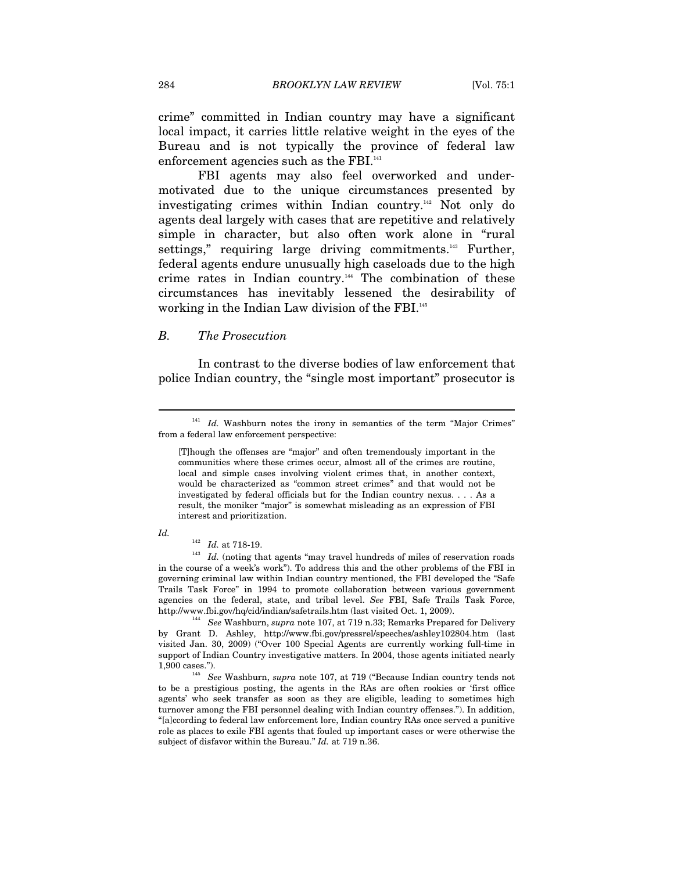crime" committed in Indian country may have a significant local impact, it carries little relative weight in the eyes of the Bureau and is not typically the province of federal law enforcement agencies such as the FBI.<sup>141</sup>

FBI agents may also feel overworked and undermotivated due to the unique circumstances presented by investigating crimes within Indian country.142 Not only do agents deal largely with cases that are repetitive and relatively simple in character, but also often work alone in "rural settings," requiring large driving commitments.<sup>143</sup> Further, federal agents endure unusually high caseloads due to the high crime rates in Indian country.<sup>144</sup> The combination of these circumstances has inevitably lessened the desirability of working in the Indian Law division of the FBI.145

#### *B. The Prosecution*

In contrast to the diverse bodies of law enforcement that police Indian country, the "single most important" prosecutor is

*Id.*

 $\overline{a}$ 

 $142\;\;Id.$  at 718-19. 143<sup>143</sup> *Id.* (noting that agents "may travel hundreds of miles of reservation roads in the course of a week's work"). To address this and the other problems of the FBI in governing criminal law within Indian country mentioned, the FBI developed the "Safe Trails Task Force" in 1994 to promote collaboration between various government agencies on the federal, state, and tribal level. *See* FBI, Safe Trails Task Force,

http://www.fbi.gov/hq/cid/indian/safetrails.htm (last visited Oct. 1, 2009). 144 *See* Washburn, *supra* note 107, at 719 n.33; Remarks Prepared for Delivery by Grant D. Ashley, http://www.fbi.gov/pressrel/speeches/ashley102804.htm (last visited Jan. 30, 2009) ("Over 100 Special Agents are currently working full-time in support of Indian Country investigative matters. In 2004, those agents initiated nearly 1,900 cases."). 145 *See* Washburn, *supra* note 107, at 719 ("Because Indian country tends not

to be a prestigious posting, the agents in the RAs are often rookies or 'first office agents' who seek transfer as soon as they are eligible, leading to sometimes high turnover among the FBI personnel dealing with Indian country offenses."). In addition, "[a]ccording to federal law enforcement lore, Indian country RAs once served a punitive role as places to exile FBI agents that fouled up important cases or were otherwise the subject of disfavor within the Bureau." *Id.* at 719 n.36.

<sup>&</sup>lt;sup>141</sup> Id. Washburn notes the irony in semantics of the term "Major Crimes" from a federal law enforcement perspective:

<sup>[</sup>T]hough the offenses are "major" and often tremendously important in the communities where these crimes occur, almost all of the crimes are routine, local and simple cases involving violent crimes that, in another context, would be characterized as "common street crimes" and that would not be investigated by federal officials but for the Indian country nexus. . . . As a result, the moniker "major" is somewhat misleading as an expression of FBI interest and prioritization.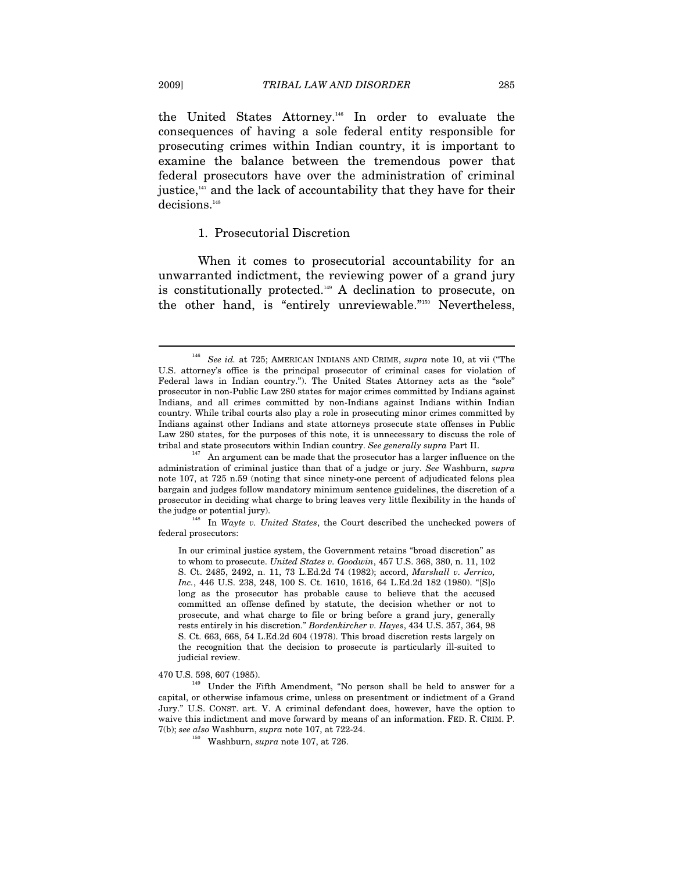the United States Attorney.146 In order to evaluate the consequences of having a sole federal entity responsible for prosecuting crimes within Indian country, it is important to examine the balance between the tremendous power that federal prosecutors have over the administration of criminal justice, $147$  and the lack of accountability that they have for their decisions.<sup>148</sup>

#### 1. Prosecutorial Discretion

When it comes to prosecutorial accountability for an unwarranted indictment, the reviewing power of a grand jury is constitutionally protected.149 A declination to prosecute, on the other hand, is "entirely unreviewable."150 Nevertheless,

federal prosecutors:

<sup>146</sup> *See id.* at 725; AMERICAN INDIANS AND CRIME, *supra* note 10, at vii ("The U.S. attorney's office is the principal prosecutor of criminal cases for violation of Federal laws in Indian country."). The United States Attorney acts as the "sole" prosecutor in non-Public Law 280 states for major crimes committed by Indians against Indians, and all crimes committed by non-Indians against Indians within Indian country. While tribal courts also play a role in prosecuting minor crimes committed by Indians against other Indians and state attorneys prosecute state offenses in Public Law 280 states, for the purposes of this note, it is unnecessary to discuss the role of tribal and state prosecutors within Indian country. *See generally supra* Part II. 147 An argument can be made that the prosecutor has a larger influence on the

administration of criminal justice than that of a judge or jury. *See* Washburn, *supra*  note 107, at 725 n.59 (noting that since ninety-one percent of adjudicated felons plea bargain and judges follow mandatory minimum sentence guidelines, the discretion of a prosecutor in deciding what charge to bring leaves very little flexibility in the hands of the judge or potential jury). 148 In *Wayte v. United States*, the Court described the unchecked powers of

In our criminal justice system, the Government retains "broad discretion" as to whom to prosecute. *United States v. Goodwin*, 457 U.S. 368, 380, n. 11, 102 S. Ct. 2485, 2492, n. 11, 73 L.Ed.2d 74 (1982); accord, *Marshall v. Jerrico, Inc.*, 446 U.S. 238, 248, 100 S. Ct. 1610, 1616, 64 L.Ed.2d 182 (1980). "[S]o long as the prosecutor has probable cause to believe that the accused committed an offense defined by statute, the decision whether or not to prosecute, and what charge to file or bring before a grand jury, generally rests entirely in his discretion." *Bordenkircher v. Hayes*, 434 U.S. 357, 364, 98 S. Ct. 663, 668, 54 L.Ed.2d 604 (1978). This broad discretion rests largely on the recognition that the decision to prosecute is particularly ill-suited to judicial review.

<sup>470</sup> U.S. 598, 607 (1985). 149 Under the Fifth Amendment, "No person shall be held to answer for a capital, or otherwise infamous crime, unless on presentment or indictment of a Grand Jury." U.S. CONST. art. V. A criminal defendant does, however, have the option to waive this indictment and move forward by means of an information. FED. R. CRIM. P. 7(b); *see also* Washburn, *supra* note 107, at 722-24. 150 Washburn, *supra* note 107, at 726.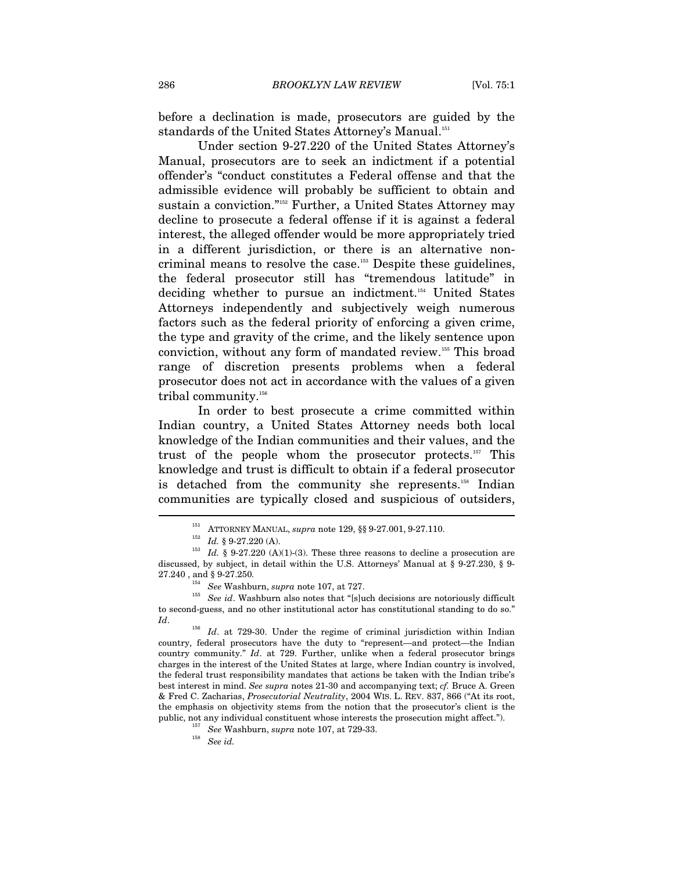before a declination is made, prosecutors are guided by the standards of the United States Attorney's Manual.<sup>151</sup>

Under section 9-27.220 of the United States Attorney's Manual, prosecutors are to seek an indictment if a potential offender's "conduct constitutes a Federal offense and that the admissible evidence will probably be sufficient to obtain and sustain a conviction."152 Further, a United States Attorney may decline to prosecute a federal offense if it is against a federal interest, the alleged offender would be more appropriately tried in a different jurisdiction, or there is an alternative noncriminal means to resolve the case.153 Despite these guidelines, the federal prosecutor still has "tremendous latitude" in deciding whether to pursue an indictment.154 United States Attorneys independently and subjectively weigh numerous factors such as the federal priority of enforcing a given crime, the type and gravity of the crime, and the likely sentence upon conviction, without any form of mandated review.155 This broad range of discretion presents problems when a federal prosecutor does not act in accordance with the values of a given tribal community.156

In order to best prosecute a crime committed within Indian country, a United States Attorney needs both local knowledge of the Indian communities and their values, and the trust of the people whom the prosecutor protects.157 This knowledge and trust is difficult to obtain if a federal prosecutor is detached from the community she represents.<sup>158</sup> Indian communities are typically closed and suspicious of outsiders,  $\overline{a}$ 

<sup>&</sup>lt;sup>151</sup> ATTORNEY MANUAL, *supra* note 129, §§ 9-27.001, 9-27.110.<br>
<sup>152</sup> *Id.* § 9-27.220 (A).<br>
<sup>153</sup> *Id.* § 9-27.220 (A)(1)-(3). These three reasons to decline a prosecution are discussed, by subject, in detail within the U.S. Attorneys' Manual at § 9-27.230, § 9-  $27.240$  , and  $\S$  9-27.250.  $See$  Washburn,  $supra$  note 107, at 727.

 $^{155}$  See id. Washburn also notes that "[s]uch decisions are notoriously difficult to second-guess, and no other institutional actor has constitutional standing to do so." *Id*. <sup>156</sup> *Id*. at 729-30. Under the regime of criminal jurisdiction within Indian

country, federal prosecutors have the duty to "represent—and protect—the Indian country community." *Id*. at 729. Further, unlike when a federal prosecutor brings charges in the interest of the United States at large, where Indian country is involved, the federal trust responsibility mandates that actions be taken with the Indian tribe's best interest in mind. *See supra* notes 21-30 and accompanying text; *cf.* Bruce A. Green & Fred C. Zacharias, *Prosecutorial Neutrality*, 2004 WIS. L. REV. 837, 866 ("At its root, the emphasis on objectivity stems from the notion that the prosecutor's client is the public, not any individual constituent whose interests the prosecution might affect."). The See Washburn, *supra* note 107, at 729-33. See id.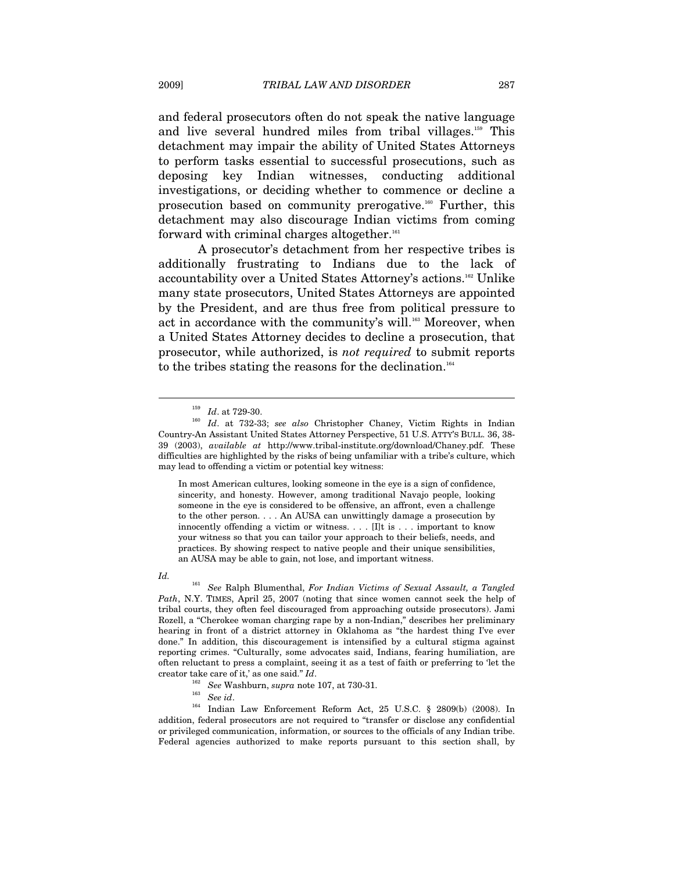and federal prosecutors often do not speak the native language and live several hundred miles from tribal villages.159 This detachment may impair the ability of United States Attorneys to perform tasks essential to successful prosecutions, such as deposing key Indian witnesses, conducting additional investigations, or deciding whether to commence or decline a prosecution based on community prerogative.160 Further, this detachment may also discourage Indian victims from coming forward with criminal charges altogether.<sup>161</sup>

A prosecutor's detachment from her respective tribes is additionally frustrating to Indians due to the lack of accountability over a United States Attorney's actions.162 Unlike many state prosecutors, United States Attorneys are appointed by the President, and are thus free from political pressure to act in accordance with the community's will.<sup>163</sup> Moreover, when a United States Attorney decides to decline a prosecution, that prosecutor, while authorized, is *not required* to submit reports to the tribes stating the reasons for the declination.<sup>164</sup>

In most American cultures, looking someone in the eye is a sign of confidence, sincerity, and honesty. However, among traditional Navajo people, looking someone in the eye is considered to be offensive, an affront, even a challenge to the other person. . . . An AUSA can unwittingly damage a prosecution by innocently offending a victim or witness. . . . [I]t is . . . important to know your witness so that you can tailor your approach to their beliefs, needs, and practices. By showing respect to native people and their unique sensibilities, an AUSA may be able to gain, not lose, and important witness.

#### *Id.*

 $\overline{a}$ 

<sup>161</sup> *See* Ralph Blumenthal, *For Indian Victims of Sexual Assault, a Tangled Path*, N.Y. TIMES, April 25, 2007 (noting that since women cannot seek the help of tribal courts, they often feel discouraged from approaching outside prosecutors). Jami Rozell, a "Cherokee woman charging rape by a non-Indian," describes her preliminary hearing in front of a district attorney in Oklahoma as "the hardest thing I've ever done." In addition, this discouragement is intensified by a cultural stigma against reporting crimes. "Culturally, some advocates said, Indians, fearing humiliation, are often reluctant to press a complaint, seeing it as a test of faith or preferring to 'let the

- 
- 

% creator take care of it,' as one said." *Id*. 162<br><sup>163</sup> See Washburn, *supra* note 107, at 730-31. 164<br><sup>164</sup> Indian Law Enforcement Reform Act, 25 U.S.C. § 2809(b) (2008). In addition, federal prosecutors are not required to "transfer or disclose any confidential or privileged communication, information, or sources to the officials of any Indian tribe. Federal agencies authorized to make reports pursuant to this section shall, by

<sup>159</sup> *Id*. at 729-30. 160 *Id*. at 732-33; *see also* Christopher Chaney, Victim Rights in Indian Country-An Assistant United States Attorney Perspective, 51 U.S. ATTY'S BULL. 36, 38- 39 (2003), *available at* http://www.tribal-institute.org/download/Chaney.pdf. These difficulties are highlighted by the risks of being unfamiliar with a tribe's culture, which may lead to offending a victim or potential key witness: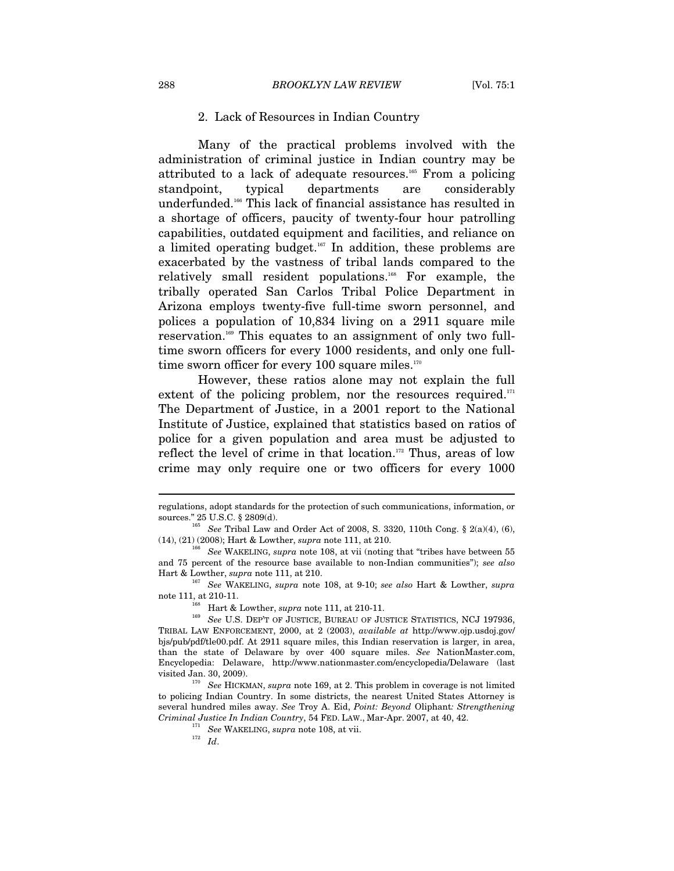#### 2. Lack of Resources in Indian Country

Many of the practical problems involved with the administration of criminal justice in Indian country may be attributed to a lack of adequate resources.165 From a policing standpoint, typical departments are considerably underfunded.166 This lack of financial assistance has resulted in a shortage of officers, paucity of twenty-four hour patrolling capabilities, outdated equipment and facilities, and reliance on a limited operating budget.<sup>167</sup> In addition, these problems are exacerbated by the vastness of tribal lands compared to the relatively small resident populations.168 For example, the tribally operated San Carlos Tribal Police Department in Arizona employs twenty-five full-time sworn personnel, and polices a population of 10,834 living on a 2911 square mile reservation.169 This equates to an assignment of only two fulltime sworn officers for every 1000 residents, and only one fulltime sworn officer for every 100 square miles.<sup>170</sup>

However, these ratios alone may not explain the full extent of the policing problem, nor the resources required. $171$ The Department of Justice, in a 2001 report to the National Institute of Justice, explained that statistics based on ratios of police for a given population and area must be adjusted to reflect the level of crime in that location.<sup>172</sup> Thus, areas of low crime may only require one or two officers for every 1000

regulations, adopt standards for the protection of such communications, information, or sources." 25 U.S.C. § 2809(d).<br><sup>165</sup> *See* Tribal Law and Order Act of 2008, S. 3320, 110th Cong. § 2(a)(4), (6),

<sup>(14), (21) (2008);</sup> Hart & Lowther, *supra* note 111, at 210. 166 *See* WAKELING, *supra* note 108, at vii (noting that "tribes have between 55

and 75 percent of the resource base available to non-Indian communities"); *see also*  Hart & Lowther, *supra* note 111, at 210.<br><sup>167</sup> See WAKELING, *supra* note 108, at 9-10; *see also* Hart & Lowther, *supra* 

note 111, at 210-11.<br><sup>168</sup> Hart & Lowther, *supra* note 111, at 210-11.<br><sup>169</sup> See U.S. DEP'T OF JUSTICE, BUREAU OF JUSTICE STATISTICS, NCJ 197936,

TRIBAL LAW ENFORCEMENT, 2000, at 2 (2003), *available at* http://www.ojp.usdoj.gov/ bjs/pub/pdf/tle00.pdf. At 2911 square miles, this Indian reservation is larger, in area, than the state of Delaware by over 400 square miles. *See* NationMaster.com, Encyclopedia: Delaware, http://www.nationmaster.com/encyclopedia/Delaware (last visited Jan. 30, 2009). 170 *See* HICKMAN, *supra* note 169, at 2. This problem in coverage is not limited

to policing Indian Country. In some districts, the nearest United States Attorney is several hundred miles away. *See* Troy A. Eid, *Point: Beyond* Oliphant*: Strengthening Criminal Justice In Indian Country*, 54 FED. LAW., Mar-Apr. 2007, at 40, 42. 171 *See* WAKELING, *supra* note 108, at vii. 172 *Id*.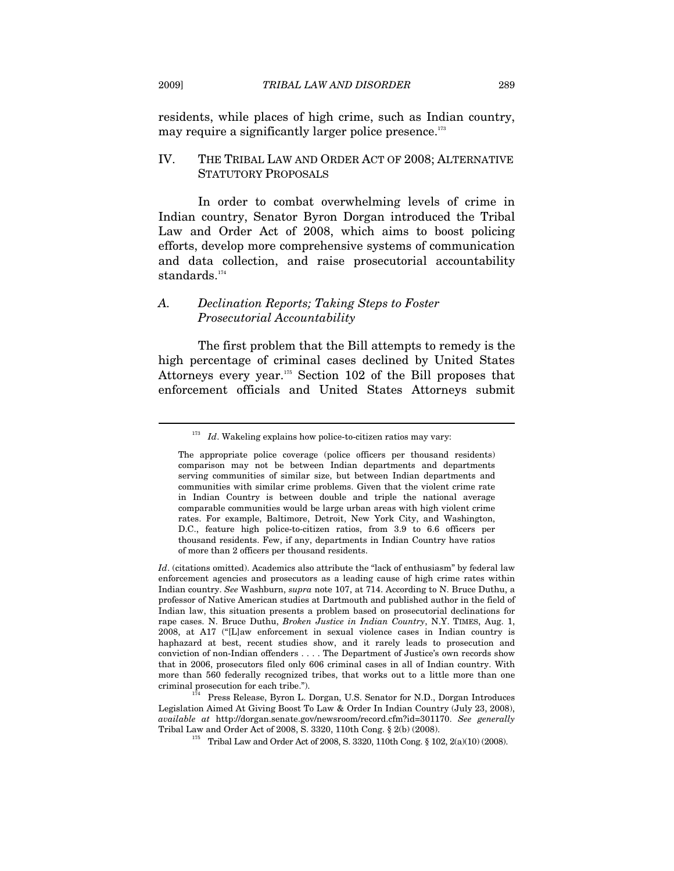residents, while places of high crime, such as Indian country, may require a significantly larger police presence.<sup>173</sup>

#### IV. THE TRIBAL LAW AND ORDER ACT OF 2008; ALTERNATIVE STATUTORY PROPOSALS

In order to combat overwhelming levels of crime in Indian country, Senator Byron Dorgan introduced the Tribal Law and Order Act of 2008, which aims to boost policing efforts, develop more comprehensive systems of communication and data collection, and raise prosecutorial accountability  $standards.^{\tiny 174}$ 

#### *A. Declination Reports; Taking Steps to Foster Prosecutorial Accountability*

The first problem that the Bill attempts to remedy is the high percentage of criminal cases declined by United States Attorneys every year.175 Section 102 of the Bill proposes that enforcement officials and United States Attorneys submit

<sup>&</sup>lt;sup>173</sup> Id. Wakeling explains how police-to-citizen ratios may vary:

The appropriate police coverage (police officers per thousand residents) comparison may not be between Indian departments and departments serving communities of similar size, but between Indian departments and communities with similar crime problems. Given that the violent crime rate in Indian Country is between double and triple the national average comparable communities would be large urban areas with high violent crime rates. For example, Baltimore, Detroit, New York City, and Washington, D.C., feature high police-to-citizen ratios, from 3.9 to 6.6 officers per thousand residents. Few, if any, departments in Indian Country have ratios of more than 2 officers per thousand residents.

Id. (citations omitted). Academics also attribute the "lack of enthusiasm" by federal law enforcement agencies and prosecutors as a leading cause of high crime rates within Indian country. *See* Washburn, *supra* note 107, at 714. According to N. Bruce Duthu, a professor of Native American studies at Dartmouth and published author in the field of Indian law, this situation presents a problem based on prosecutorial declinations for rape cases. N. Bruce Duthu, *Broken Justice in Indian Country*, N.Y. TIMES, Aug. 1, 2008, at A17 ("[L]aw enforcement in sexual violence cases in Indian country is haphazard at best, recent studies show, and it rarely leads to prosecution and conviction of non-Indian offenders . . . . The Department of Justice's own records show that in 2006, prosecutors filed only 606 criminal cases in all of Indian country. With more than 560 federally recognized tribes, that works out to a little more than one criminal prosecution for each tribe."). 174 Press Release, Byron L. Dorgan, U.S. Senator for N.D., Dorgan Introduces

Legislation Aimed At Giving Boost To Law & Order In Indian Country (July 23, 2008), *available at* http://dorgan.senate.gov/newsroom/record.cfm?id=301170. *See generally*

 $175$  Tribal Law and Order Act of 2008, S. 3320, 110th Cong. § 102, 2(a)(10) (2008).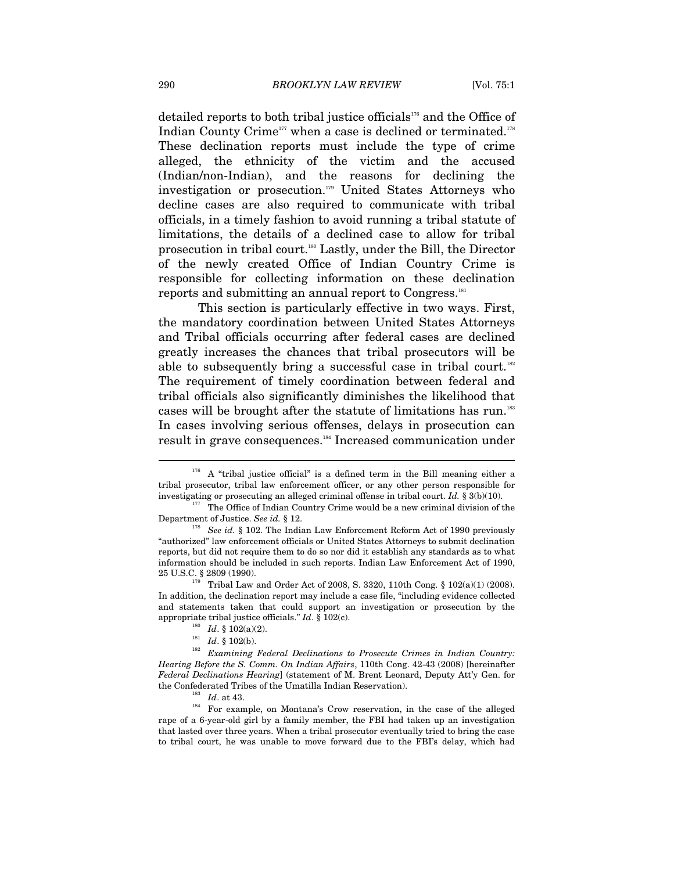detailed reports to both tribal justice officials<sup>176</sup> and the Office of Indian County Crime<sup>177</sup> when a case is declined or terminated.<sup>178</sup> These declination reports must include the type of crime alleged, the ethnicity of the victim and the accused (Indian/non-Indian), and the reasons for declining the investigation or prosecution.179 United States Attorneys who decline cases are also required to communicate with tribal officials, in a timely fashion to avoid running a tribal statute of limitations, the details of a declined case to allow for tribal prosecution in tribal court.180 Lastly, under the Bill, the Director of the newly created Office of Indian Country Crime is responsible for collecting information on these declination reports and submitting an annual report to Congress.181

This section is particularly effective in two ways. First, the mandatory coordination between United States Attorneys and Tribal officials occurring after federal cases are declined greatly increases the chances that tribal prosecutors will be able to subsequently bring a successful case in tribal court.<sup>182</sup> The requirement of timely coordination between federal and tribal officials also significantly diminishes the likelihood that cases will be brought after the statute of limitations has run.<sup>183</sup> In cases involving serious offenses, delays in prosecution can result in grave consequences.184 Increased communication under

 $176$  A "tribal justice official" is a defined term in the Bill meaning either a tribal prosecutor, tribal law enforcement officer, or any other person responsible for

investigating or prosecuting an alleged criminal offense in tribal court. *Id.* § 3(b)(10).<br><sup>177</sup> The Office of Indian Country Crime would be a new criminal division of the<br>Department of Justice. See id. § 12.

<sup>&</sup>lt;sup>178</sup> See *id.* § 102. The Indian Law Enforcement Reform Act of 1990 previously "authorized" law enforcement officials or United States Attorneys to submit declination reports, but did not require them to do so nor did it establish any standards as to what information should be included in such reports. Indian Law Enforcement Act of 1990, 25 U.S.C. § 2809 (1990). Tribal Law and Order Act of 2008, S. 3320, 110th Cong. § 102(a)(1) (2008).

In addition, the declination report may include a case file, "including evidence collected and statements taken that could support an investigation or prosecution by the

appropriate tribal justice officials." *Id.* § 102(c).<br>
<sup>180</sup> *Id.* § 102(a)(2).<br>
<sup>181</sup> *Id.* § 102(b).<br> *Examining Federal Declinations to Prosecute Crimes in Indian Country: Hearing Before the S. Comm. On Indian Affairs*, 110th Cong. 42-43 (2008) [hereinafter *Federal Declinations Hearing*] (statement of M. Brent Leonard, Deputy Att'y Gen. for

the Confederated Tribes of the Umatilla Indian Reservation).  $Id.$  at 43. For example, on Montana's Crow reservation, in the case of the alleged rape of a 6-year-old girl by a family member, the FBI had taken up an investigation that lasted over three years. When a tribal prosecutor eventually tried to bring the case to tribal court, he was unable to move forward due to the FBI's delay, which had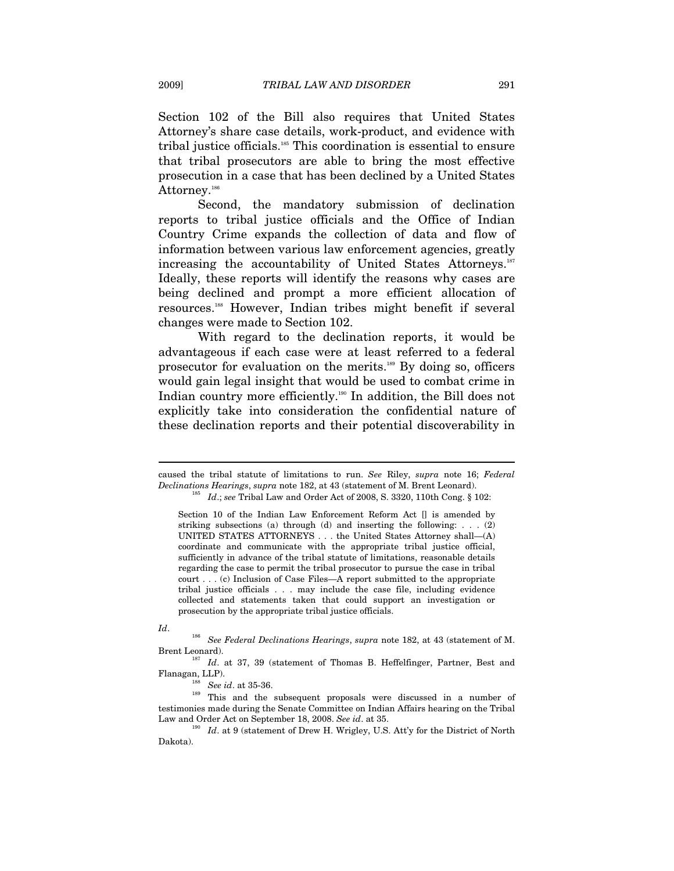Section 102 of the Bill also requires that United States Attorney's share case details, work-product, and evidence with tribal justice officials.185 This coordination is essential to ensure that tribal prosecutors are able to bring the most effective prosecution in a case that has been declined by a United States Attorney.<sup>186</sup>

Second, the mandatory submission of declination reports to tribal justice officials and the Office of Indian Country Crime expands the collection of data and flow of information between various law enforcement agencies, greatly increasing the accountability of United States Attorneys.<sup>187</sup> Ideally, these reports will identify the reasons why cases are being declined and prompt a more efficient allocation of resources.188 However, Indian tribes might benefit if several changes were made to Section 102.

With regard to the declination reports, it would be advantageous if each case were at least referred to a federal prosecutor for evaluation on the merits.189 By doing so, officers would gain legal insight that would be used to combat crime in Indian country more efficiently.190 In addition, the Bill does not explicitly take into consideration the confidential nature of these declination reports and their potential discoverability in

 $\overline{a}$ 

*Id*. 186 *See Federal Declinations Hearings*, *supra* note 182, at 43 (statement of M. Brent Leonard). 187 *Id*. at 37, 39 (statement of Thomas B. Heffelfinger, Partner, Best and

caused the tribal statute of limitations to run. *See* Riley, *supra* note 16; *Federal Declinations Hearings, supra* note 182, at 43 (statement of M. Brent Leonard).<br><sup>185</sup> Id.; *see* Tribal Law and Order Act of 2008, S. 3320, 110th Cong. § 102:

Section 10 of the Indian Law Enforcement Reform Act [] is amended by striking subsections (a) through (d) and inserting the following: . . . (2) UNITED STATES ATTORNEYS . . . the United States Attorney shall—(A) coordinate and communicate with the appropriate tribal justice official, sufficiently in advance of the tribal statute of limitations, reasonable details regarding the case to permit the tribal prosecutor to pursue the case in tribal court . . . (c) Inclusion of Case Files—A report submitted to the appropriate tribal justice officials . . . may include the case file, including evidence collected and statements taken that could support an investigation or prosecution by the appropriate tribal justice officials.

Flanagan, LLP).<br><sup>188</sup> See id. at 35-36.<br><sup>189</sup> This and the subsequent proposals were discussed in a number of testimonies made during the Senate Committee on Indian Affairs hearing on the Tribal Law and Order Act on September 18, 2008. See  $id$ . at 35.

<sup>&</sup>lt;sup>190</sup> Id. at 9 (statement of Drew H. Wrigley, U.S. Att'y for the District of North Dakota).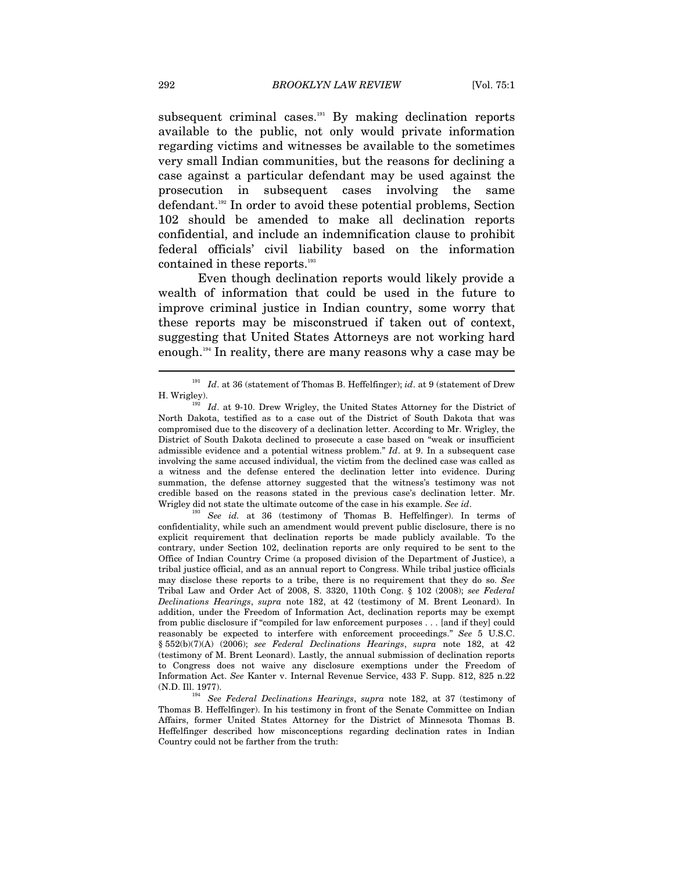subsequent criminal cases.191 By making declination reports available to the public, not only would private information regarding victims and witnesses be available to the sometimes very small Indian communities, but the reasons for declining a case against a particular defendant may be used against the prosecution in subsequent cases involving the same defendant.<sup>192</sup> In order to avoid these potential problems, Section 102 should be amended to make all declination reports confidential, and include an indemnification clause to prohibit federal officials' civil liability based on the information contained in these reports.<sup>193</sup>

Even though declination reports would likely provide a wealth of information that could be used in the future to improve criminal justice in Indian country, some worry that these reports may be misconstrued if taken out of context, suggesting that United States Attorneys are not working hard enough.194 In reality, there are many reasons why a case may be

 $^{191}$   $Id.$  at 36 (statement of Thomas B. Heffelfinger);  $id.$  at 9 (statement of Drew H. Wrigley).

Id. at 9-10. Drew Wrigley, the United States Attorney for the District of North Dakota, testified as to a case out of the District of South Dakota that was compromised due to the discovery of a declination letter. According to Mr. Wrigley, the District of South Dakota declined to prosecute a case based on "weak or insufficient admissible evidence and a potential witness problem." *Id*. at 9. In a subsequent case involving the same accused individual, the victim from the declined case was called as a witness and the defense entered the declination letter into evidence. During summation, the defense attorney suggested that the witness's testimony was not credible based on the reasons stated in the previous case's declination letter. Mr. Wrigley did not state the ultimate outcome of the case in his example. *See id.* 193 *See id.* at 36 (testimony of Thomas B. Heffelfinger). In terms of

confidentiality, while such an amendment would prevent public disclosure, there is no explicit requirement that declination reports be made publicly available. To the contrary, under Section 102, declination reports are only required to be sent to the Office of Indian Country Crime (a proposed division of the Department of Justice), a tribal justice official, and as an annual report to Congress. While tribal justice officials may disclose these reports to a tribe, there is no requirement that they do so. *See*  Tribal Law and Order Act of 2008, S. 3320, 110th Cong. § 102 (2008); *see Federal Declinations Hearings*, *supra* note 182, at 42 (testimony of M. Brent Leonard). In addition, under the Freedom of Information Act, declination reports may be exempt from public disclosure if "compiled for law enforcement purposes . . . [and if they] could reasonably be expected to interfere with enforcement proceedings." *See* 5 U.S.C. § 552(b)(7)(A) (2006); *see Federal Declinations Hearings*, *supra* note 182, at 42 (testimony of M. Brent Leonard). Lastly, the annual submission of declination reports to Congress does not waive any disclosure exemptions under the Freedom of Information Act. *See* Kanter v. Internal Revenue Service, 433 F. Supp. 812, 825 n.22

<sup>(</sup>N.D. Ill. 1977). 194 *See Federal Declinations Hearings*, *supra* note 182, at 37 (testimony of Thomas B. Heffelfinger). In his testimony in front of the Senate Committee on Indian Affairs, former United States Attorney for the District of Minnesota Thomas B. Heffelfinger described how misconceptions regarding declination rates in Indian Country could not be farther from the truth: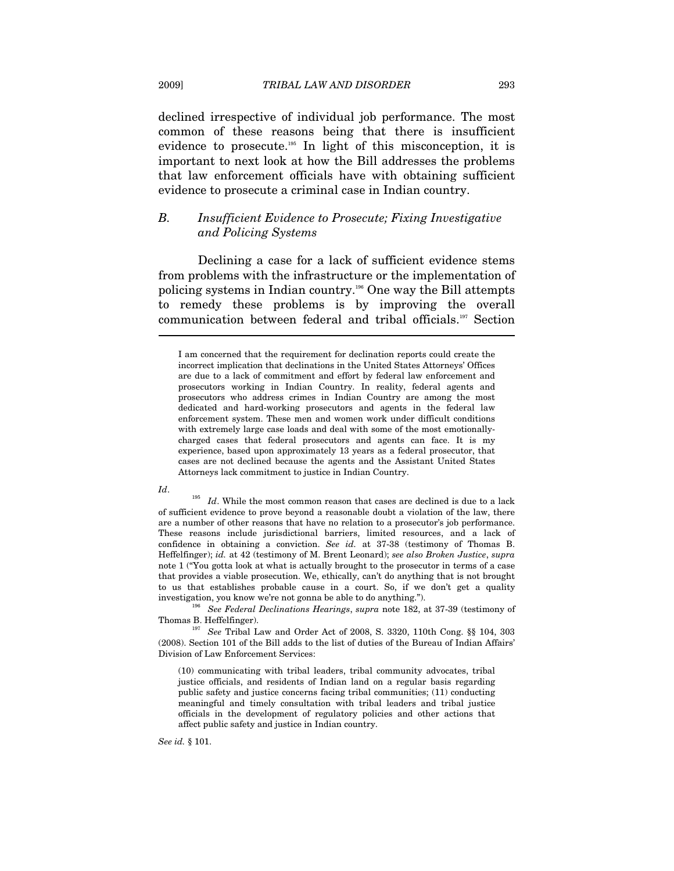declined irrespective of individual job performance. The most common of these reasons being that there is insufficient evidence to prosecute.<sup>195</sup> In light of this misconception, it is important to next look at how the Bill addresses the problems that law enforcement officials have with obtaining sufficient evidence to prosecute a criminal case in Indian country.

#### *B. Insufficient Evidence to Prosecute; Fixing Investigative and Policing Systems*

Declining a case for a lack of sufficient evidence stems from problems with the infrastructure or the implementation of policing systems in Indian country.196 One way the Bill attempts to remedy these problems is by improving the overall communication between federal and tribal officials.197 Section

*Id*. <sup>195</sup> *Id*. While the most common reason that cases are declined is due to a lack of sufficient evidence to prove beyond a reasonable doubt a violation of the law, there are a number of other reasons that have no relation to a prosecutor's job performance. These reasons include jurisdictional barriers, limited resources, and a lack of confidence in obtaining a conviction. *See id.* at 37-38 (testimony of Thomas B. Heffelfinger); *id.* at 42 (testimony of M. Brent Leonard); *see also Broken Justice*, *supra* note 1 ("You gotta look at what is actually brought to the prosecutor in terms of a case that provides a viable prosecution. We, ethically, can't do anything that is not brought to us that establishes probable cause in a court. So, if we don't get a quality

investigation, you know we're not gonna be able to do anything.").<br><sup>196</sup> See Federal Declinations Hearings, *supra* note 182, at 37-39 (testimony of Thomas B. Heffelfinger).

<sup>197</sup> See Tribal Law and Order Act of 2008, S. 3320, 110th Cong. §§ 104, 303 (2008). Section 101 of the Bill adds to the list of duties of the Bureau of Indian Affairs' Division of Law Enforcement Services:

(10) communicating with tribal leaders, tribal community advocates, tribal justice officials, and residents of Indian land on a regular basis regarding public safety and justice concerns facing tribal communities; (11) conducting meaningful and timely consultation with tribal leaders and tribal justice officials in the development of regulatory policies and other actions that affect public safety and justice in Indian country.

*See id.* § 101.

I am concerned that the requirement for declination reports could create the incorrect implication that declinations in the United States Attorneys' Offices are due to a lack of commitment and effort by federal law enforcement and prosecutors working in Indian Country. In reality, federal agents and prosecutors who address crimes in Indian Country are among the most dedicated and hard-working prosecutors and agents in the federal law enforcement system. These men and women work under difficult conditions with extremely large case loads and deal with some of the most emotionallycharged cases that federal prosecutors and agents can face. It is my experience, based upon approximately 13 years as a federal prosecutor, that cases are not declined because the agents and the Assistant United States Attorneys lack commitment to justice in Indian Country.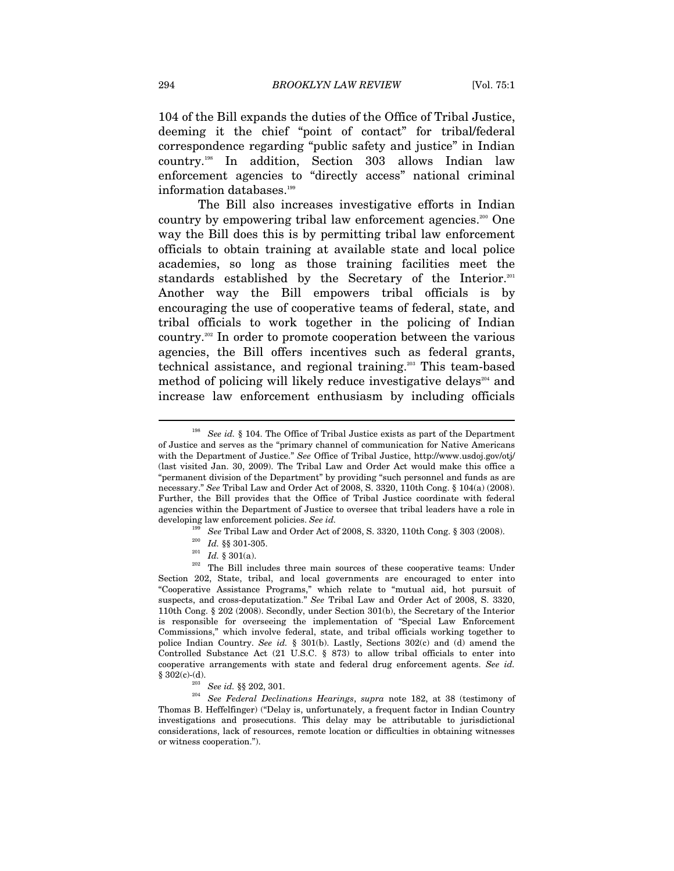104 of the Bill expands the duties of the Office of Tribal Justice, deeming it the chief "point of contact" for tribal/federal correspondence regarding "public safety and justice" in Indian country.198 In addition, Section 303 allows Indian law enforcement agencies to "directly access" national criminal information databases.<sup>199</sup>

The Bill also increases investigative efforts in Indian country by empowering tribal law enforcement agencies.<sup>200</sup> One way the Bill does this is by permitting tribal law enforcement officials to obtain training at available state and local police academies, so long as those training facilities meet the standards established by the Secretary of the Interior.<sup>201</sup> Another way the Bill empowers tribal officials is by encouraging the use of cooperative teams of federal, state, and tribal officials to work together in the policing of Indian country.202 In order to promote cooperation between the various agencies, the Bill offers incentives such as federal grants, technical assistance, and regional training.203 This team-based method of policing will likely reduce investigative delays<sup>204</sup> and increase law enforcement enthusiasm by including officials

<sup>199</sup> See Tribal Law and Order Act of 2008, S. 3320, 110th Cong. § 303 (2008).<br><sup>201</sup> *Id.* § 301-305.<br><sup>201</sup> *Id.* § 301(a).<br><sup>202</sup> The Bill includes three main sources of these cooperative teams: Under Section 202, State, tribal, and local governments are encouraged to enter into "Cooperative Assistance Programs," which relate to "mutual aid, hot pursuit of suspects, and cross-deputatization." *See* Tribal Law and Order Act of 2008, S. 3320, 110th Cong. § 202 (2008). Secondly, under Section 301(b), the Secretary of the Interior is responsible for overseeing the implementation of "Special Law Enforcement Commissions," which involve federal, state, and tribal officials working together to police Indian Country. *See id.* § 301(b). Lastly, Sections 302(c) and (d) amend the Controlled Substance Act (21 U.S.C. § 873) to allow tribal officials to enter into cooperative arrangements with state and federal drug enforcement agents. *See id.*

§ 302(c)-(d). 203 *See id.* §§ 202, 301. 204 *See Federal Declinations Hearings*, *supra* note 182, at 38 (testimony of Thomas B. Heffelfinger) ("Delay is, unfortunately, a frequent factor in Indian Country investigations and prosecutions. This delay may be attributable to jurisdictional considerations, lack of resources, remote location or difficulties in obtaining witnesses or witness cooperation.").

See id. § 104. The Office of Tribal Justice exists as part of the Department of Justice and serves as the "primary channel of communication for Native Americans with the Department of Justice." *See* Office of Tribal Justice, http://www.usdoj.gov/otj/ (last visited Jan. 30, 2009). The Tribal Law and Order Act would make this office a "permanent division of the Department" by providing "such personnel and funds as are necessary." *See* Tribal Law and Order Act of 2008, S. 3320, 110th Cong. § 104(a) (2008). Further, the Bill provides that the Office of Tribal Justice coordinate with federal agencies within the Department of Justice to oversee that tribal leaders have a role in developing law enforcement policies. *See id.*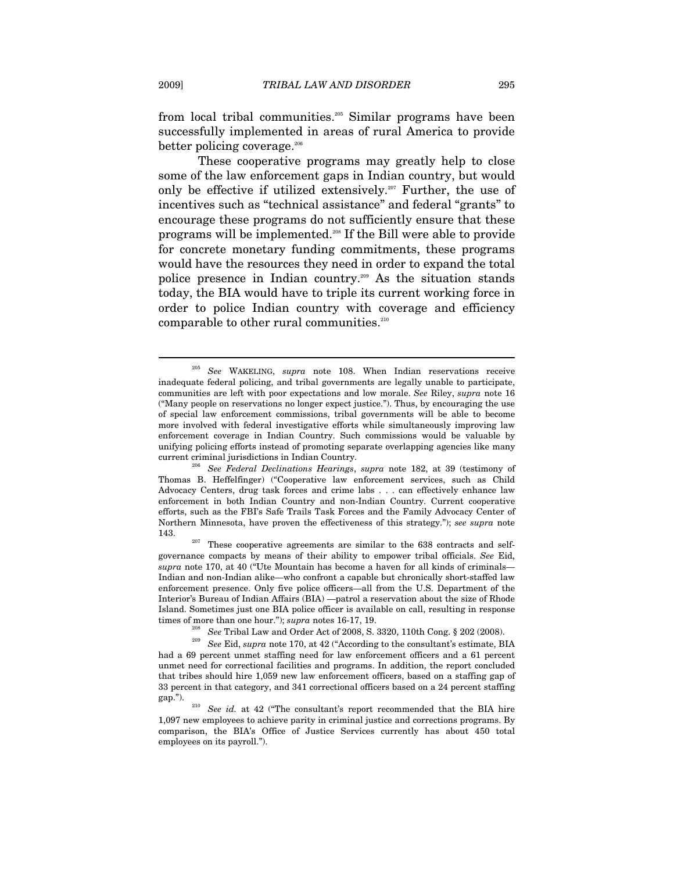from local tribal communities.<sup>205</sup> Similar programs have been successfully implemented in areas of rural America to provide better policing coverage.<sup>206</sup>

These cooperative programs may greatly help to close some of the law enforcement gaps in Indian country, but would only be effective if utilized extensively.<sup>207</sup> Further, the use of incentives such as "technical assistance" and federal "grants" to encourage these programs do not sufficiently ensure that these programs will be implemented.208 If the Bill were able to provide for concrete monetary funding commitments, these programs would have the resources they need in order to expand the total police presence in Indian country.209 As the situation stands today, the BIA would have to triple its current working force in order to police Indian country with coverage and efficiency comparable to other rural communities.<sup>210</sup>

 $\overline{a}$ 

Thomas B. Heffelfinger) ("Cooperative law enforcement services, such as Child Advocacy Centers, drug task forces and crime labs . . . can effectively enhance law enforcement in both Indian Country and non-Indian Country. Current cooperative efforts, such as the FBI's Safe Trails Task Forces and the Family Advocacy Center of Northern Minnesota, have proven the effectiveness of this strategy."); *see supra* note 143. 207 These cooperative agreements are similar to the 638 contracts and self-

governance compacts by means of their ability to empower tribal officials. *See* Eid, *supra* note 170, at 40 ("Ute Mountain has become a haven for all kinds of criminals— Indian and non-Indian alike—who confront a capable but chronically short-staffed law enforcement presence. Only five police officers—all from the U.S. Department of the Interior's Bureau of Indian Affairs (BIA) —patrol a reservation about the size of Rhode Island. Sometimes just one BIA police officer is available on call, resulting in response

times of more than one hour."); *supra* notes 16-17, 19.<br><sup>208</sup> See Tribal Law and Order Act of 2008, S. 3320, 110th Cong. § 202 (2008).<br><sup>209</sup> See Eid, *supra* note 170, at 42 ("According to the consultant's estimate, BIA had a 69 percent unmet staffing need for law enforcement officers and a 61 percent unmet need for correctional facilities and programs. In addition, the report concluded that tribes should hire 1,059 new law enforcement officers, based on a staffing gap of 33 percent in that category, and 341 correctional officers based on a 24 percent staffing gap."). 210 *See id.* at 42 ("The consultant's report recommended that the BIA hire

1,097 new employees to achieve parity in criminal justice and corrections programs. By comparison, the BIA's Office of Justice Services currently has about 450 total employees on its payroll.").

<sup>205</sup> *See* WAKELING, *supra* note 108. When Indian reservations receive inadequate federal policing, and tribal governments are legally unable to participate, communities are left with poor expectations and low morale. *See* Riley, *supra* note 16 ("Many people on reservations no longer expect justice."). Thus, by encouraging the use of special law enforcement commissions, tribal governments will be able to become more involved with federal investigative efforts while simultaneously improving law enforcement coverage in Indian Country. Such commissions would be valuable by unifying policing efforts instead of promoting separate overlapping agencies like many current criminal jurisdictions in Indian Country. 206 *See Federal Declinations Hearings*, *supra* note 182, at 39 (testimony of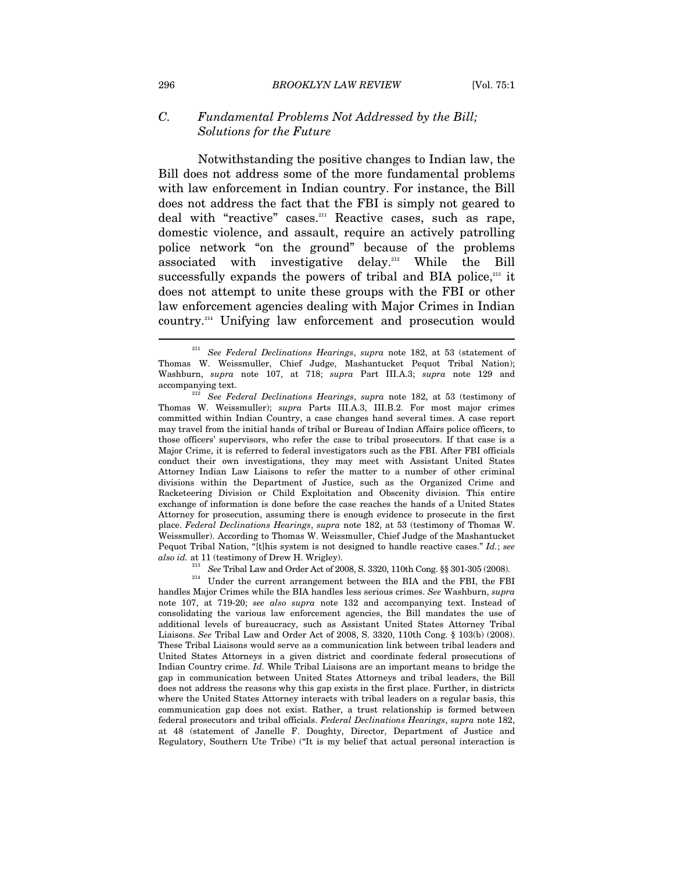#### *C. Fundamental Problems Not Addressed by the Bill; Solutions for the Future*

Notwithstanding the positive changes to Indian law, the Bill does not address some of the more fundamental problems with law enforcement in Indian country. For instance, the Bill does not address the fact that the FBI is simply not geared to deal with "reactive" cases. $211$  Reactive cases, such as rape, domestic violence, and assault, require an actively patrolling police network "on the ground" because of the problems associated with investigative delay.<sup>212</sup> While the Bill successfully expands the powers of tribal and BIA police, $213$  it does not attempt to unite these groups with the FBI or other law enforcement agencies dealing with Major Crimes in Indian country.214 Unifying law enforcement and prosecution would

 $214$  Under the current arrangement between the BIA and the FBI, the FBI handles Major Crimes while the BIA handles less serious crimes. *See* Washburn, *supra*  note 107, at 719-20; *see also supra* note 132 and accompanying text. Instead of consolidating the various law enforcement agencies, the Bill mandates the use of additional levels of bureaucracy, such as Assistant United States Attorney Tribal Liaisons. *See* Tribal Law and Order Act of 2008, S. 3320, 110th Cong. § 103(b) (2008). These Tribal Liaisons would serve as a communication link between tribal leaders and United States Attorneys in a given district and coordinate federal prosecutions of Indian Country crime. *Id.* While Tribal Liaisons are an important means to bridge the gap in communication between United States Attorneys and tribal leaders, the Bill does not address the reasons why this gap exists in the first place. Further, in districts where the United States Attorney interacts with tribal leaders on a regular basis, this communication gap does not exist. Rather, a trust relationship is formed between federal prosecutors and tribal officials. *Federal Declinations Hearings*, *supra* note 182, at 48 (statement of Janelle F. Doughty, Director, Department of Justice and Regulatory, Southern Ute Tribe) ("It is my belief that actual personal interaction is

<sup>211</sup> *See Federal Declinations Hearings*, *supra* note 182, at 53 (statement of Thomas W. Weissmuller, Chief Judge, Mashantucket Pequot Tribal Nation); Washburn, *supra* note 107, at 718; *supra* Part III.A.3; *supra* note 129 and

accompanying text. 212 *See Federal Declinations Hearings*, *supra* note 182, at 53 (testimony of Thomas W. Weissmuller); *supra* Parts III.A.3, III.B.2. For most major crimes committed within Indian Country, a case changes hand several times. A case report may travel from the initial hands of tribal or Bureau of Indian Affairs police officers, to those officers' supervisors, who refer the case to tribal prosecutors. If that case is a Major Crime, it is referred to federal investigators such as the FBI. After FBI officials conduct their own investigations, they may meet with Assistant United States Attorney Indian Law Liaisons to refer the matter to a number of other criminal divisions within the Department of Justice, such as the Organized Crime and Racketeering Division or Child Exploitation and Obscenity division. This entire exchange of information is done before the case reaches the hands of a United States Attorney for prosecution, assuming there is enough evidence to prosecute in the first place. *Federal Declinations Hearings*, *supra* note 182, at 53 (testimony of Thomas W. Weissmuller). According to Thomas W. Weissmuller, Chief Judge of the Mashantucket Pequot Tribal Nation, "[t]his system is not designed to handle reactive cases." *Id.*; *see*   $also\ id.$  at 11 (testimony of Drew H. Wrigley).  $See$  Tribal Law and Order Act of 2008, S. 3320, 110th Cong. §§ 301-305 (2008).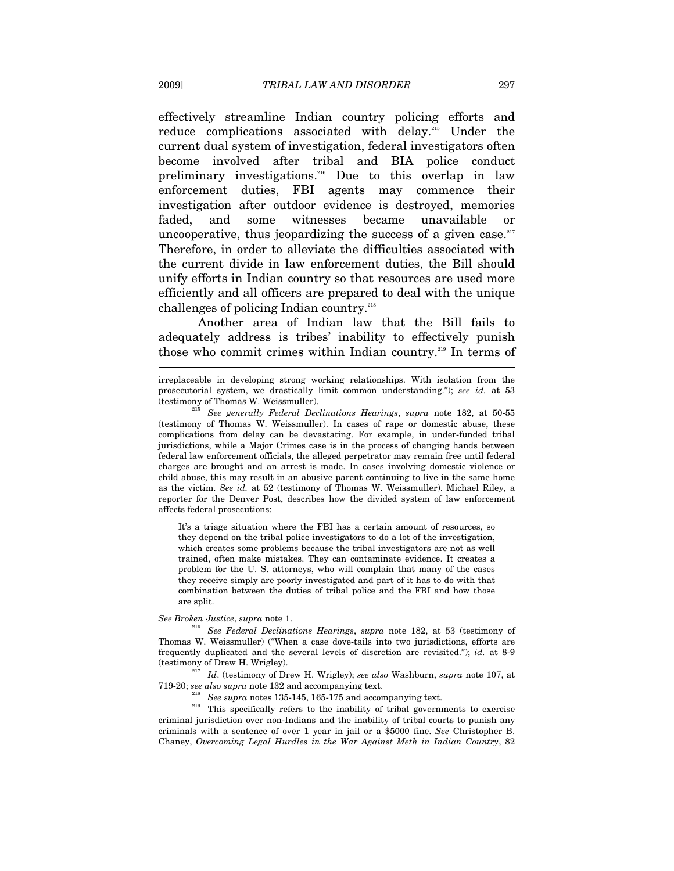effectively streamline Indian country policing efforts and reduce complications associated with delay.215 Under the current dual system of investigation, federal investigators often become involved after tribal and BIA police conduct preliminary investigations.<sup>216</sup> Due to this overlap in law enforcement duties, FBI agents may commence their investigation after outdoor evidence is destroyed, memories faded, and some witnesses became unavailable or uncooperative, thus jeopardizing the success of a given case. $217$ Therefore, in order to alleviate the difficulties associated with the current divide in law enforcement duties, the Bill should unify efforts in Indian country so that resources are used more efficiently and all officers are prepared to deal with the unique challenges of policing Indian country.218

Another area of Indian law that the Bill fails to adequately address is tribes' inability to effectively punish those who commit crimes within Indian country.<sup>219</sup> In terms of

It's a triage situation where the FBI has a certain amount of resources, so they depend on the tribal police investigators to do a lot of the investigation, which creates some problems because the tribal investigators are not as well trained, often make mistakes. They can contaminate evidence. It creates a problem for the U. S. attorneys, who will complain that many of the cases they receive simply are poorly investigated and part of it has to do with that combination between the duties of tribal police and the FBI and how those are split.

*See Broken Justice*, *supra* note 1. 216 *See Federal Declinations Hearings*, *supra* note 182, at 53 (testimony of Thomas W. Weissmuller) ("When a case dove-tails into two jurisdictions, efforts are frequently duplicated and the several levels of discretion are revisited."); *id.* at 8-9 (testimony of Drew H. Wrigley). 217 *Id*. (testimony of Drew H. Wrigley); *see also* Washburn, *supra* note 107, at

719-20; *see also supra* note 132 and accompanying text. 218 *See supra* notes 135-145, 165-175 and accompanying text. 219 This specifically refers to the inability of tribal governments to exercise

criminal jurisdiction over non-Indians and the inability of tribal courts to punish any criminals with a sentence of over 1 year in jail or a \$5000 fine. *See* Christopher B. Chaney, *Overcoming Legal Hurdles in the War Against Meth in Indian Country*, 82

irreplaceable in developing strong working relationships. With isolation from the prosecutorial system, we drastically limit common understanding."); *see id.* at 53

See generally Federal Declinations Hearings, *supra* note 182, at 50-55 (testimony of Thomas W. Weissmuller). In cases of rape or domestic abuse, these complications from delay can be devastating. For example, in under-funded tribal jurisdictions, while a Major Crimes case is in the process of changing hands between federal law enforcement officials, the alleged perpetrator may remain free until federal charges are brought and an arrest is made. In cases involving domestic violence or child abuse, this may result in an abusive parent continuing to live in the same home as the victim. *See id.* at 52 (testimony of Thomas W. Weissmuller). Michael Riley, a reporter for the Denver Post, describes how the divided system of law enforcement affects federal prosecutions: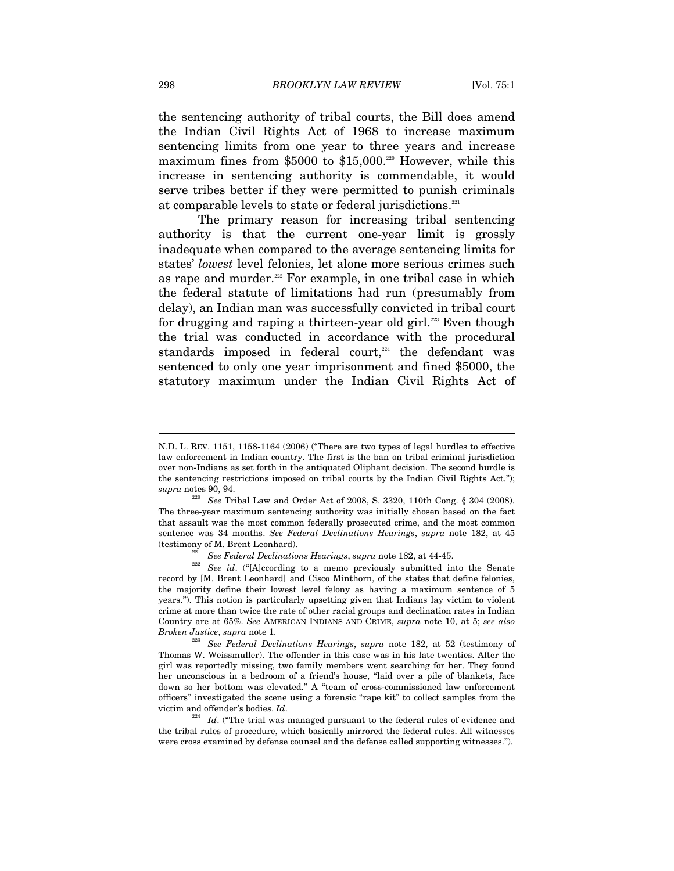the sentencing authority of tribal courts, the Bill does amend the Indian Civil Rights Act of 1968 to increase maximum sentencing limits from one year to three years and increase maximum fines from \$5000 to  $$15,000$ .<sup>220</sup> However, while this increase in sentencing authority is commendable, it would serve tribes better if they were permitted to punish criminals at comparable levels to state or federal jurisdictions.<sup>221</sup>

The primary reason for increasing tribal sentencing authority is that the current one-year limit is grossly inadequate when compared to the average sentencing limits for states' *lowest* level felonies, let alone more serious crimes such as rape and murder.<sup>222</sup> For example, in one tribal case in which the federal statute of limitations had run (presumably from delay), an Indian man was successfully convicted in tribal court for drugging and raping a thirteen-year old girl.<sup>223</sup> Even though the trial was conducted in accordance with the procedural standards imposed in federal court,<sup>224</sup> the defendant was sentenced to only one year imprisonment and fined \$5000, the statutory maximum under the Indian Civil Rights Act of

N.D. L. REV. 1151, 1158-1164 (2006) ("There are two types of legal hurdles to effective law enforcement in Indian country. The first is the ban on tribal criminal jurisdiction over non-Indians as set forth in the antiquated Oliphant decision. The second hurdle is the sentencing restrictions imposed on tribal courts by the Indian Civil Rights Act."); *supra* notes 90, 94. 220 *See* Tribal Law and Order Act of 2008, S. 3320, 110th Cong. § 304 (2008).

The three-year maximum sentencing authority was initially chosen based on the fact that assault was the most common federally prosecuted crime, and the most common sentence was 34 months. *See Federal Declinations Hearings*, *supra* note 182, at 45

<sup>(</sup>testimony of M. Brent Leonhard). 221 *See Federal Declinations Hearings*, *supra* note 182, at 44-45. 222 *See id*. ("[A]ccording to a memo previously submitted into the Senate record by [M. Brent Leonhard] and Cisco Minthorn, of the states that define felonies, the majority define their lowest level felony as having a maximum sentence of 5 years."). This notion is particularly upsetting given that Indians lay victim to violent crime at more than twice the rate of other racial groups and declination rates in Indian Country are at 65%. *See* AMERICAN INDIANS AND CRIME, *supra* note 10, at 5; *see also*

*Broken Justice*, *supra* note 1. 223 *See Federal Declinations Hearings*, *supra* note 182, at 52 (testimony of Thomas W. Weissmuller). The offender in this case was in his late twenties. After the girl was reportedly missing, two family members went searching for her. They found her unconscious in a bedroom of a friend's house, "laid over a pile of blankets, face down so her bottom was elevated." A "team of cross-commissioned law enforcement officers" investigated the scene using a forensic "rape kit" to collect samples from the victim and offender's bodies. *Id*.  $\frac{224}{Hd}$ . ("The trial was managed pursuant to the federal rules of evidence and

the tribal rules of procedure, which basically mirrored the federal rules. All witnesses were cross examined by defense counsel and the defense called supporting witnesses.").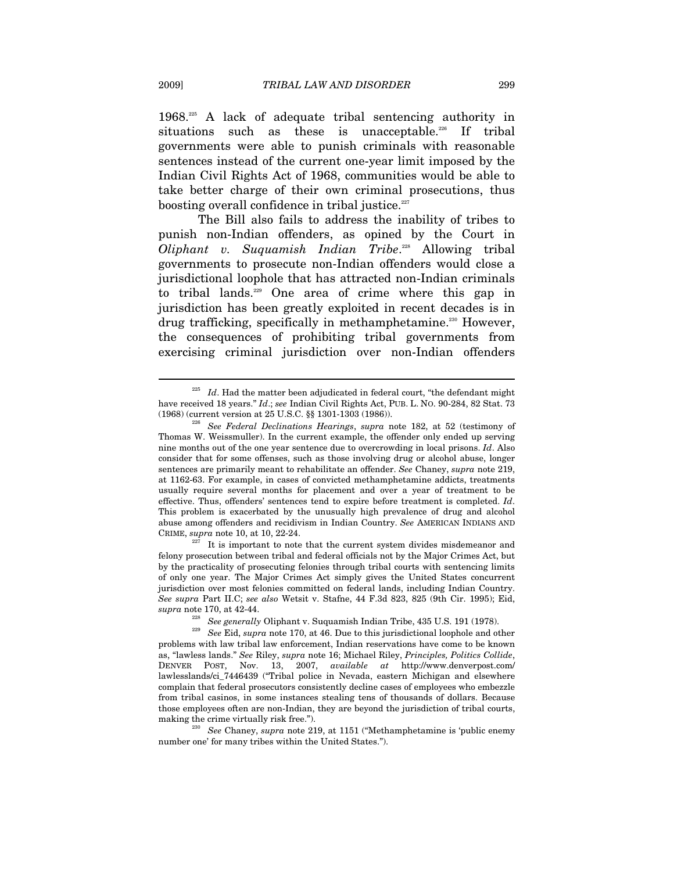1968.225 A lack of adequate tribal sentencing authority in situations such as these is unacceptable.<sup>226</sup> If tribal governments were able to punish criminals with reasonable sentences instead of the current one-year limit imposed by the Indian Civil Rights Act of 1968, communities would be able to take better charge of their own criminal prosecutions, thus boosting overall confidence in tribal justice.<sup>227</sup>

The Bill also fails to address the inability of tribes to punish non-Indian offenders, as opined by the Court in *Oliphant v. Suquamish Indian Tribe*. 228 Allowing tribal governments to prosecute non-Indian offenders would close a jurisdictional loophole that has attracted non-Indian criminals to tribal lands.<sup>229</sup> One area of crime where this gap in jurisdiction has been greatly exploited in recent decades is in drug trafficking, specifically in methamphetamine.<sup>230</sup> However, the consequences of prohibiting tribal governments from exercising criminal jurisdiction over non-Indian offenders

CRIME, *supra* note 10, at 10, 22-24.<br><sup>227</sup> It is important to note that the current system divides misdemeanor and felony prosecution between tribal and federal officials not by the Major Crimes Act, but by the practicality of prosecuting felonies through tribal courts with sentencing limits of only one year. The Major Crimes Act simply gives the United States concurrent jurisdiction over most felonies committed on federal lands, including Indian Country. *See supra* Part II.C; *see also* Wetsit v. Stafne, 44 F.3d 823, 825 (9th Cir. 1995); Eid, *supra* note 170, at 42-44. 228 *See generally* Oliphant v. Suquamish Indian Tribe, 435 U.S. 191 (1978). 229 *See* Eid, *supra* note 170, at 46. Due to this jurisdictional loophole and other

number one' for many tribes within the United States.").

 $^{225}$  *Id*. Had the matter been adjudicated in federal court, "the defendant might have received 18 years." *Id*.; *see* Indian Civil Rights Act, PUB. L. NO. 90-284, 82 Stat. 73 (1968) (current version at 25 U.S.C. §§ 1301-1303 (1986)). 226 *See Federal Declinations Hearings*, *supra* note 182, at 52 (testimony of

Thomas W. Weissmuller). In the current example, the offender only ended up serving nine months out of the one year sentence due to overcrowding in local prisons. *Id*. Also consider that for some offenses, such as those involving drug or alcohol abuse, longer sentences are primarily meant to rehabilitate an offender. *See* Chaney, *supra* note 219, at 1162-63. For example, in cases of convicted methamphetamine addicts, treatments usually require several months for placement and over a year of treatment to be effective. Thus, offenders' sentences tend to expire before treatment is completed. *Id*. This problem is exacerbated by the unusually high prevalence of drug and alcohol abuse among offenders and recidivism in Indian Country. *See* AMERICAN INDIANS AND

problems with law tribal law enforcement, Indian reservations have come to be known as, "lawless lands." *See* Riley, *supra* note 16; Michael Riley, *Principles, Politics Collide*, DENVER POST, Nov. 13, 2007, *available at* http://www.denverpost.com/ lawlesslands/ci\_7446439 ("Tribal police in Nevada, eastern Michigan and elsewhere complain that federal prosecutors consistently decline cases of employees who embezzle from tribal casinos, in some instances stealing tens of thousands of dollars. Because those employees often are non-Indian, they are beyond the jurisdiction of tribal courts, making the crime virtually risk free."). 230 *See* Chaney, *supra* note 219, at 1151 ("Methamphetamine is 'public enemy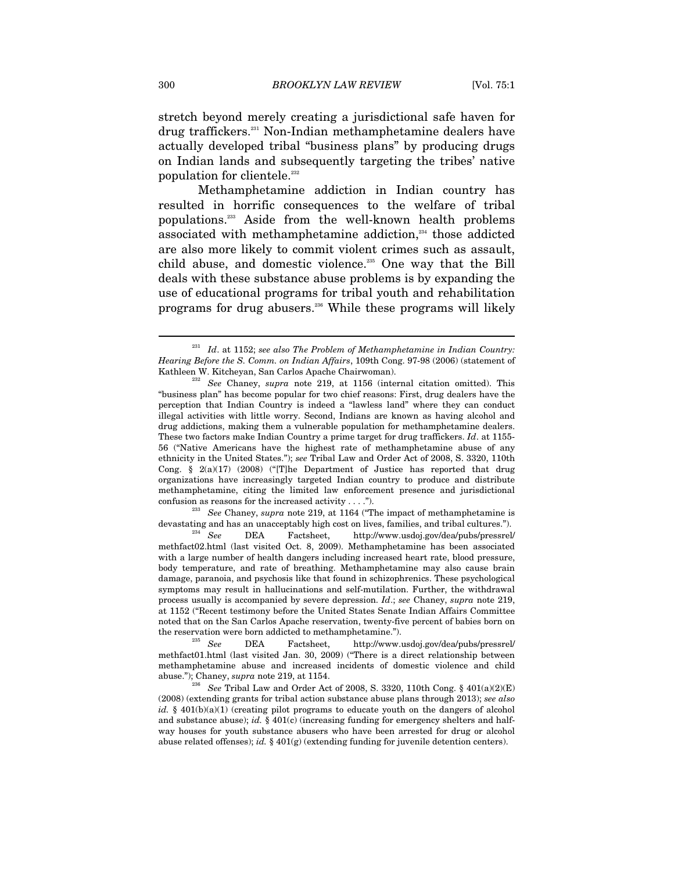stretch beyond merely creating a jurisdictional safe haven for drug traffickers.231 Non-Indian methamphetamine dealers have actually developed tribal "business plans" by producing drugs on Indian lands and subsequently targeting the tribes' native population for clientele.<sup>232</sup>

Methamphetamine addiction in Indian country has resulted in horrific consequences to the welfare of tribal populations.233 Aside from the well-known health problems associated with methamphetamine addiction,<sup>234</sup> those addicted are also more likely to commit violent crimes such as assault, child abuse, and domestic violence.<sup>235</sup> One way that the Bill deals with these substance abuse problems is by expanding the use of educational programs for tribal youth and rehabilitation programs for drug abusers.236 While these programs will likely

confusion as reasons for the increased activity . . . ."). 233 *See* Chaney, *supra* note 219, at 1164 ("The impact of methamphetamine is devastating and has an unacceptably high cost on lives, families, and tribal cultures."). 234 *See* DEA Factsheet, http://www.usdoj.gov/dea/pubs/pressrel/

methfact02.html (last visited Oct. 8, 2009). Methamphetamine has been associated with a large number of health dangers including increased heart rate, blood pressure, body temperature, and rate of breathing. Methamphetamine may also cause brain damage, paranoia, and psychosis like that found in schizophrenics. These psychological symptoms may result in hallucinations and self-mutilation. Further, the withdrawal process usually is accompanied by severe depression. *Id*.; *see* Chaney, *supra* note 219, at 1152 ("Recent testimony before the United States Senate Indian Affairs Committee noted that on the San Carlos Apache reservation, twenty-five percent of babies born on

the reservation were born addicted to methamphetamine."). 235 *See* DEA Factsheet, http://www.usdoj.gov/dea/pubs/pressrel/ methfact01.html (last visited Jan. 30, 2009) ("There is a direct relationship between methamphetamine abuse and increased incidents of domestic violence and child abuse."); Chaney, *supra* note 219, at 1154. 236 *See* Tribal Law and Order Act of 2008, S. 3320, 110th Cong. § 401(a)(2)(E)

(2008) (extending grants for tribal action substance abuse plans through 2013); *see also id.*  $§$  401(b)(a)(1) (creating pilot programs to educate youth on the dangers of alcohol and substance abuse);  $id. \S$  401(c) (increasing funding for emergency shelters and halfway houses for youth substance abusers who have been arrested for drug or alcohol abuse related offenses); *id.* § 401(g) (extending funding for juvenile detention centers).

<sup>231</sup> *Id*. at 1152; *see also The Problem of Methamphetamine in Indian Country: Hearing Before the S. Comm. on Indian Affairs*, 109th Cong. 97-98 (2006) (statement of Kathleen W. Kitcheyan, San Carlos Apache Chairwoman). 232 *See* Chaney, *supra* note 219, at 1156 (internal citation omitted). This

<sup>&</sup>quot;business plan" has become popular for two chief reasons: First, drug dealers have the perception that Indian Country is indeed a "lawless land" where they can conduct illegal activities with little worry. Second, Indians are known as having alcohol and drug addictions, making them a vulnerable population for methamphetamine dealers. These two factors make Indian Country a prime target for drug traffickers. *Id*. at 1155- 56 ("Native Americans have the highest rate of methamphetamine abuse of any ethnicity in the United States."); *see* Tribal Law and Order Act of 2008, S. 3320, 110th Cong. §  $2(a)(17)$  (2008) ("[T]he Department of Justice has reported that drug organizations have increasingly targeted Indian country to produce and distribute methamphetamine, citing the limited law enforcement presence and jurisdictional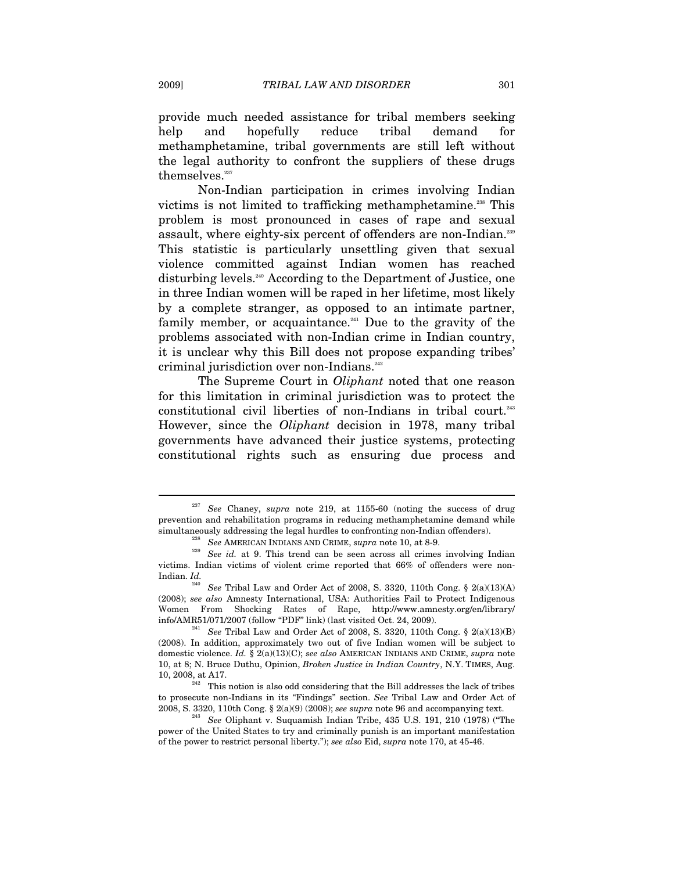provide much needed assistance for tribal members seeking help and hopefully reduce tribal demand methamphetamine, tribal governments are still left without the legal authority to confront the suppliers of these drugs  ${\rm the} {\rm ms} {\rm e}^{\rm log.237}$ 

Non-Indian participation in crimes involving Indian victims is not limited to trafficking methamphetamine.<sup>238</sup> This problem is most pronounced in cases of rape and sexual assault, where eighty-six percent of offenders are non-Indian.<sup>239</sup> This statistic is particularly unsettling given that sexual violence committed against Indian women has reached disturbing levels.240 According to the Department of Justice, one in three Indian women will be raped in her lifetime, most likely by a complete stranger, as opposed to an intimate partner, family member, or acquaintance. $241}$  Due to the gravity of the problems associated with non-Indian crime in Indian country, it is unclear why this Bill does not propose expanding tribes' criminal jurisdiction over non-Indians.<sup>242</sup>

The Supreme Court in *Oliphant* noted that one reason for this limitation in criminal jurisdiction was to protect the constitutional civil liberties of non-Indians in tribal court.<sup>243</sup> However, since the *Oliphant* decision in 1978, many tribal governments have advanced their justice systems, protecting constitutional rights such as ensuring due process and

<sup>237</sup> *See* Chaney, *supra* note 219, at 1155-60 (noting the success of drug prevention and rehabilitation programs in reducing methamphetamine demand while simultaneously addressing the legal hurdles to confronting non-Indian offenders).

<sup>&</sup>lt;sup>238</sup> See AMERICAN INDIANS AND CRIME, *supra* note 10, at 8-9.<br><sup>239</sup> See id. at 9. This trend can be seen across all crimes involving Indian victims. Indian victims of violent crime reported that 66% of offenders were non-Indian. *Id.* 240 *See* Tribal Law and Order Act of 2008, S. 3320, 110th Cong. § 2(a)(13)(A)

<sup>(2008);</sup> *see also* Amnesty International, USA: Authorities Fail to Protect Indigenous Women From Shocking Rates of Rape, http://www.amnesty.org/en/library/

 $^{241}$  See Tribal Law and Order Act of 2008, S. 3320, 110th Cong. § 2(a)(13)(B) (2008). In addition, approximately two out of five Indian women will be subject to domestic violence. *Id.* § 2(a)(13)(C); *see also* AMERICAN INDIANS AND CRIME, *supra* note 10, at 8; N. Bruce Duthu, Opinion, *Broken Justice in Indian Country*, N.Y. TIMES, Aug.

 $10^{242}$  This notion is also odd considering that the Bill addresses the lack of tribes to prosecute non-Indians in its "Findings" section. *See* Tribal Law and Order Act of 2008, S. 3320, 110th Cong. § 2(a)(9) (2008); *see supra* note 96 and accompanying text. 243 *See* Oliphant v. Suquamish Indian Tribe, 435 U.S. 191, 210 (1978) ("The

power of the United States to try and criminally punish is an important manifestation of the power to restrict personal liberty."); *see also* Eid, *supra* note 170, at 45-46.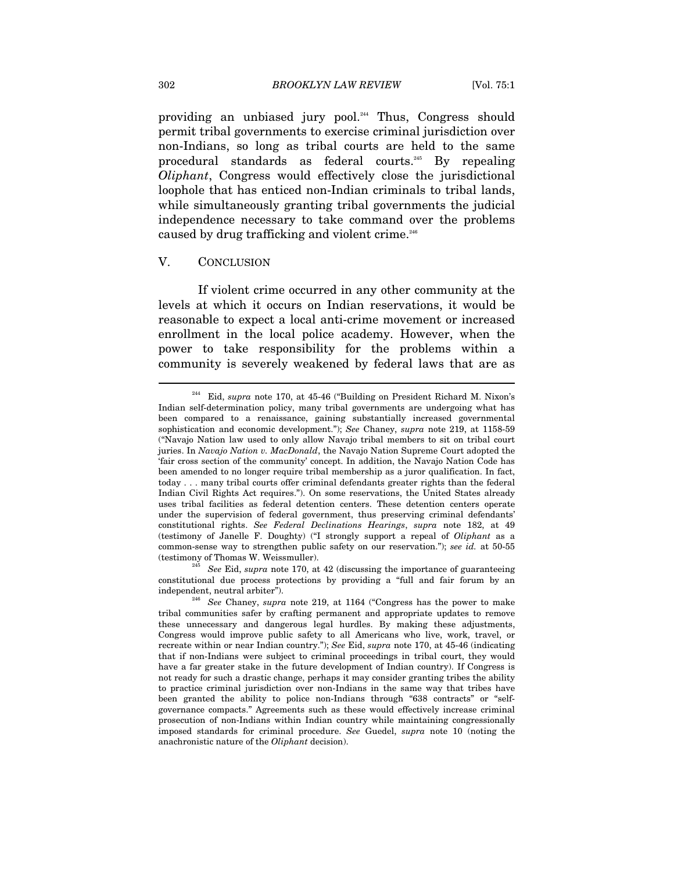providing an unbiased jury pool.244 Thus, Congress should permit tribal governments to exercise criminal jurisdiction over non-Indians, so long as tribal courts are held to the same procedural standards as federal courts.245 By repealing *Oliphant*, Congress would effectively close the jurisdictional loophole that has enticed non-Indian criminals to tribal lands, while simultaneously granting tribal governments the judicial independence necessary to take command over the problems caused by drug trafficking and violent crime.<sup>246</sup>

#### V. CONCLUSION

If violent crime occurred in any other community at the levels at which it occurs on Indian reservations, it would be reasonable to expect a local anti-crime movement or increased enrollment in the local police academy. However, when the power to take responsibility for the problems within a community is severely weakened by federal laws that are as

(testimony of Thomas W. Weissmuller). 245 *See* Eid, *supra* note 170, at 42 (discussing the importance of guaranteeing constitutional due process protections by providing a "full and fair forum by an independent, neutral arbiter"). 246 *See* Chaney, *supra* note 219, at 1164 ("Congress has the power to make

<sup>244</sup> Eid, *supra* note 170, at 45-46 ("Building on President Richard M. Nixon's Indian self-determination policy, many tribal governments are undergoing what has been compared to a renaissance, gaining substantially increased governmental sophistication and economic development."); *See* Chaney, *supra* note 219, at 1158-59 ("Navajo Nation law used to only allow Navajo tribal members to sit on tribal court juries. In *Navajo Nation v. MacDonald*, the Navajo Nation Supreme Court adopted the 'fair cross section of the community' concept. In addition, the Navajo Nation Code has been amended to no longer require tribal membership as a juror qualification. In fact, today . . . many tribal courts offer criminal defendants greater rights than the federal Indian Civil Rights Act requires."). On some reservations, the United States already uses tribal facilities as federal detention centers. These detention centers operate under the supervision of federal government, thus preserving criminal defendants' constitutional rights. *See Federal Declinations Hearings*, *supra* note 182, at 49 (testimony of Janelle F. Doughty) ("I strongly support a repeal of *Oliphant* as a common-sense way to strengthen public safety on our reservation."); *see id.* at 50-55

tribal communities safer by crafting permanent and appropriate updates to remove these unnecessary and dangerous legal hurdles. By making these adjustments, Congress would improve public safety to all Americans who live, work, travel, or recreate within or near Indian country."); *See* Eid, *supra* note 170, at 45-46 (indicating that if non-Indians were subject to criminal proceedings in tribal court, they would have a far greater stake in the future development of Indian country). If Congress is not ready for such a drastic change, perhaps it may consider granting tribes the ability to practice criminal jurisdiction over non-Indians in the same way that tribes have been granted the ability to police non-Indians through "638 contracts" or "selfgovernance compacts." Agreements such as these would effectively increase criminal prosecution of non-Indians within Indian country while maintaining congressionally imposed standards for criminal procedure. *See* Guedel, *supra* note 10 (noting the anachronistic nature of the *Oliphant* decision).